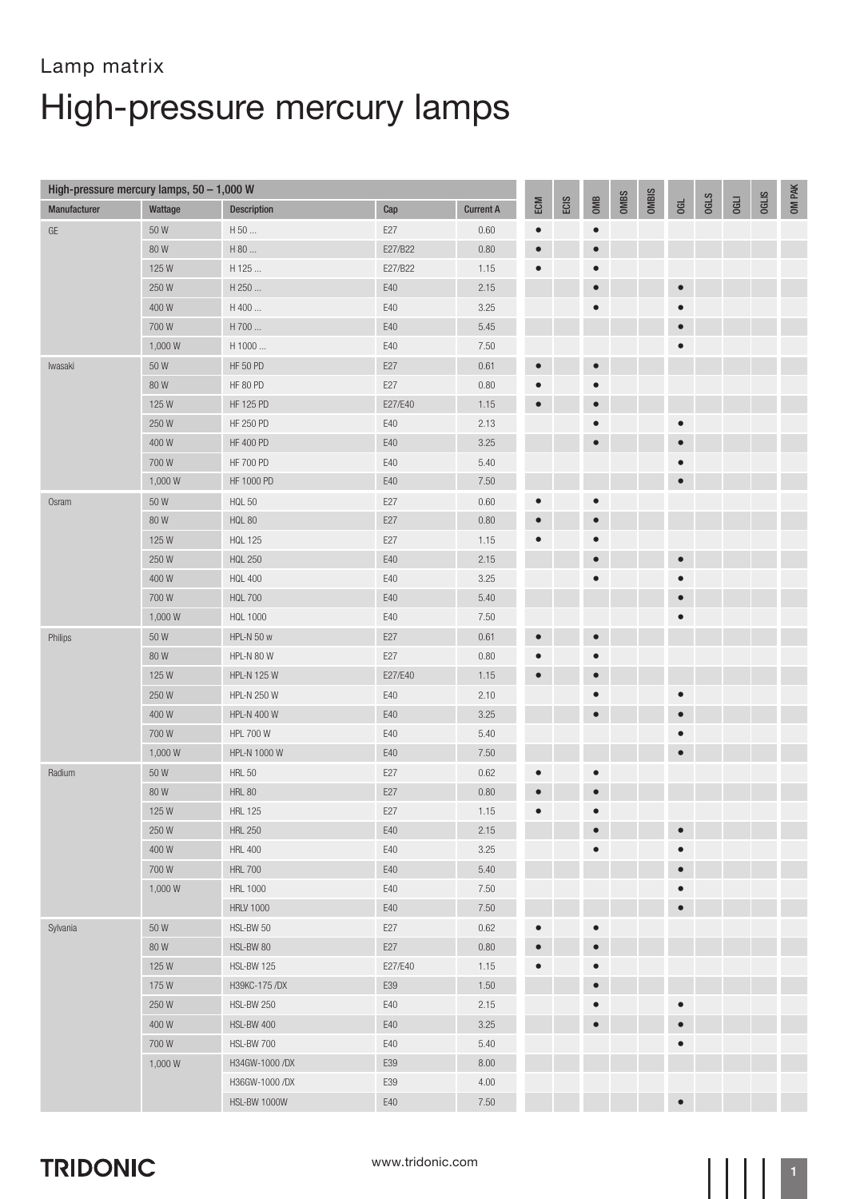## Lamp matrix High-pressure mercury lamps

| High-pressure mercury lamps, $50 - 1,000$ W |                  |                     |         |                  |           |      |           |      |       |           |             |             |              |        |
|---------------------------------------------|------------------|---------------------|---------|------------------|-----------|------|-----------|------|-------|-----------|-------------|-------------|--------------|--------|
| Manufacturer                                | Wattage          | <b>Description</b>  | Cap     | <b>Current A</b> | ECM       | ECIS | OMB       | OMBS | OMBIS | Gd        | <b>OGLS</b> | <b>OGLI</b> | <b>OGLIS</b> | OM PAK |
| $\mathsf{GE}$                               | 50W              | H 50                | E27     | 0.60             | $\bullet$ |      | $\bullet$ |      |       |           |             |             |              |        |
|                                             | 80W              | H 80                | E27/B22 | 0.80             | $\bullet$ |      | $\bullet$ |      |       |           |             |             |              |        |
|                                             | 125W             | H 125               | E27/B22 | 1.15             | $\bullet$ |      | $\bullet$ |      |       |           |             |             |              |        |
|                                             | 250W             | H 250               | E40     | 2.15             |           |      | $\bullet$ |      |       | $\bullet$ |             |             |              |        |
|                                             | 400W             | H 400               | E40     | 3.25             |           |      | $\bullet$ |      |       | $\bullet$ |             |             |              |        |
|                                             | 700W             | H 700               | E40     | 5.45             |           |      |           |      |       | $\bullet$ |             |             |              |        |
|                                             | 1,000W           | H 1000              | E40     | 7.50             |           |      |           |      |       | $\bullet$ |             |             |              |        |
| lwasaki                                     | $50\,\mathrm{W}$ | <b>HF 50 PD</b>     | E27     | 0.61             | $\bullet$ |      | $\bullet$ |      |       |           |             |             |              |        |
|                                             | 80W              | <b>HF 80 PD</b>     | E27     | 0.80             | $\bullet$ |      | $\bullet$ |      |       |           |             |             |              |        |
|                                             | 125W             | HF 125 PD           | E27/E40 | 1.15             | $\bullet$ |      | $\bullet$ |      |       |           |             |             |              |        |
|                                             | 250W             | <b>HF 250 PD</b>    | E40     | 2.13             |           |      | $\bullet$ |      |       | $\bullet$ |             |             |              |        |
|                                             | 400W             | <b>HF 400 PD</b>    | E40     | $3.25\,$         |           |      | $\bullet$ |      |       | $\bullet$ |             |             |              |        |
|                                             | 700W             | <b>HF 700 PD</b>    | E40     | 5.40             |           |      |           |      |       | $\bullet$ |             |             |              |        |
|                                             | 1,000 W          | HF 1000 PD          | E40     | 7.50             |           |      |           |      |       | $\bullet$ |             |             |              |        |
| Osram                                       | $50\,\mathrm{W}$ | <b>HQL 50</b>       | E27     | 0.60             | $\bullet$ |      | $\bullet$ |      |       |           |             |             |              |        |
|                                             | 80W              | <b>HQL 80</b>       | E27     | 0.80             | $\bullet$ |      | $\bullet$ |      |       |           |             |             |              |        |
|                                             | 125W             | <b>HQL 125</b>      | E27     | 1.15             | $\bullet$ |      | $\bullet$ |      |       |           |             |             |              |        |
|                                             | 250W             | <b>HQL 250</b>      | E40     | 2.15             |           |      | $\bullet$ |      |       | $\bullet$ |             |             |              |        |
|                                             | 400W             | <b>HQL 400</b>      | E40     | 3.25             |           |      | $\bullet$ |      |       | $\bullet$ |             |             |              |        |
|                                             | 700W             | <b>HQL 700</b>      | E40     | 5.40             |           |      |           |      |       | $\bullet$ |             |             |              |        |
|                                             | 1,000 W          | <b>HQL 1000</b>     | E40     | 7.50             |           |      |           |      |       | $\bullet$ |             |             |              |        |
| Philips                                     | 50 W             | HPL-N 50 w          | E27     | 0.61             | $\bullet$ |      | $\bullet$ |      |       |           |             |             |              |        |
|                                             | 80W              | HPL-N 80 W          | E27     | 0.80             | $\bullet$ |      | $\bullet$ |      |       |           |             |             |              |        |
|                                             | 125W             | <b>HPL-N 125 W</b>  | E27/E40 | 1.15             | $\bullet$ |      | $\bullet$ |      |       |           |             |             |              |        |
|                                             | 250W             | <b>HPL-N 250 W</b>  | E40     | 2.10             |           |      | $\bullet$ |      |       | $\bullet$ |             |             |              |        |
|                                             | 400W             | <b>HPL-N 400 W</b>  | E40     | 3.25             |           |      | $\bullet$ |      |       | $\bullet$ |             |             |              |        |
|                                             | 700W             | <b>HPL 700 W</b>    | E40     | 5.40             |           |      |           |      |       | $\bullet$ |             |             |              |        |
|                                             | 1,000 W          | HPL-N 1000 W        | E40     | 7.50             |           |      |           |      |       | $\bullet$ |             |             |              |        |
| Radium                                      | 50 W             | <b>HRL 50</b>       | E27     | 0.62             | $\bullet$ |      | $\bullet$ |      |       |           |             |             |              |        |
|                                             | 80W              | <b>HRL 80</b>       | E27     | 0.80             | $\bullet$ |      | $\bullet$ |      |       |           |             |             |              |        |
|                                             | 125W             | <b>HRL 125</b>      | E27     | 1.15             | $\bullet$ |      | $\bullet$ |      |       |           |             |             |              |        |
|                                             | 250W             | <b>HRL 250</b>      | E40     | 2.15             |           |      | $\bullet$ |      |       | $\bullet$ |             |             |              |        |
|                                             | 400W             | <b>HRL 400</b>      | E40     | 3.25             |           |      | $\bullet$ |      |       | $\bullet$ |             |             |              |        |
|                                             | 700W             | <b>HRL 700</b>      | E40     | 5.40             |           |      |           |      |       | $\bullet$ |             |             |              |        |
|                                             | 1,000 W          | <b>HRL 1000</b>     | E40     | 7.50             |           |      |           |      |       | $\bullet$ |             |             |              |        |
|                                             |                  | <b>HRLV 1000</b>    | E40     | 7.50             |           |      |           |      |       | $\bullet$ |             |             |              |        |
| Sylvania                                    | 50W              | HSL-BW 50           | E27     | 0.62             | $\bullet$ |      | $\bullet$ |      |       |           |             |             |              |        |
|                                             | 80W              | HSL-BW 80           | E27     | 0.80             | $\bullet$ |      | $\bullet$ |      |       |           |             |             |              |        |
|                                             | 125W             | <b>HSL-BW 125</b>   | E27/E40 | 1.15             | $\bullet$ |      | $\bullet$ |      |       |           |             |             |              |        |
|                                             | 175W             | H39KC-175 /DX       | E39     | 1.50             |           |      | $\bullet$ |      |       |           |             |             |              |        |
|                                             | 250 W            | <b>HSL-BW 250</b>   | E40     | 2.15             |           |      | $\bullet$ |      |       | $\bullet$ |             |             |              |        |
|                                             | 400W             | HSL-BW 400          | E40     | 3.25             |           |      | $\bullet$ |      |       | $\bullet$ |             |             |              |        |
|                                             | 700W             | HSL-BW 700          | E40     | 5.40             |           |      |           |      |       | $\bullet$ |             |             |              |        |
|                                             | 1,000 W          | H34GW-1000 /DX      | E39     | 8.00             |           |      |           |      |       |           |             |             |              |        |
|                                             |                  | H36GW-1000 /DX      | E39     | 4.00             |           |      |           |      |       |           |             |             |              |        |
|                                             |                  | <b>HSL-BW 1000W</b> | E40     | 7.50             |           |      |           |      |       | $\bullet$ |             |             |              |        |

#### **TRIDONIC**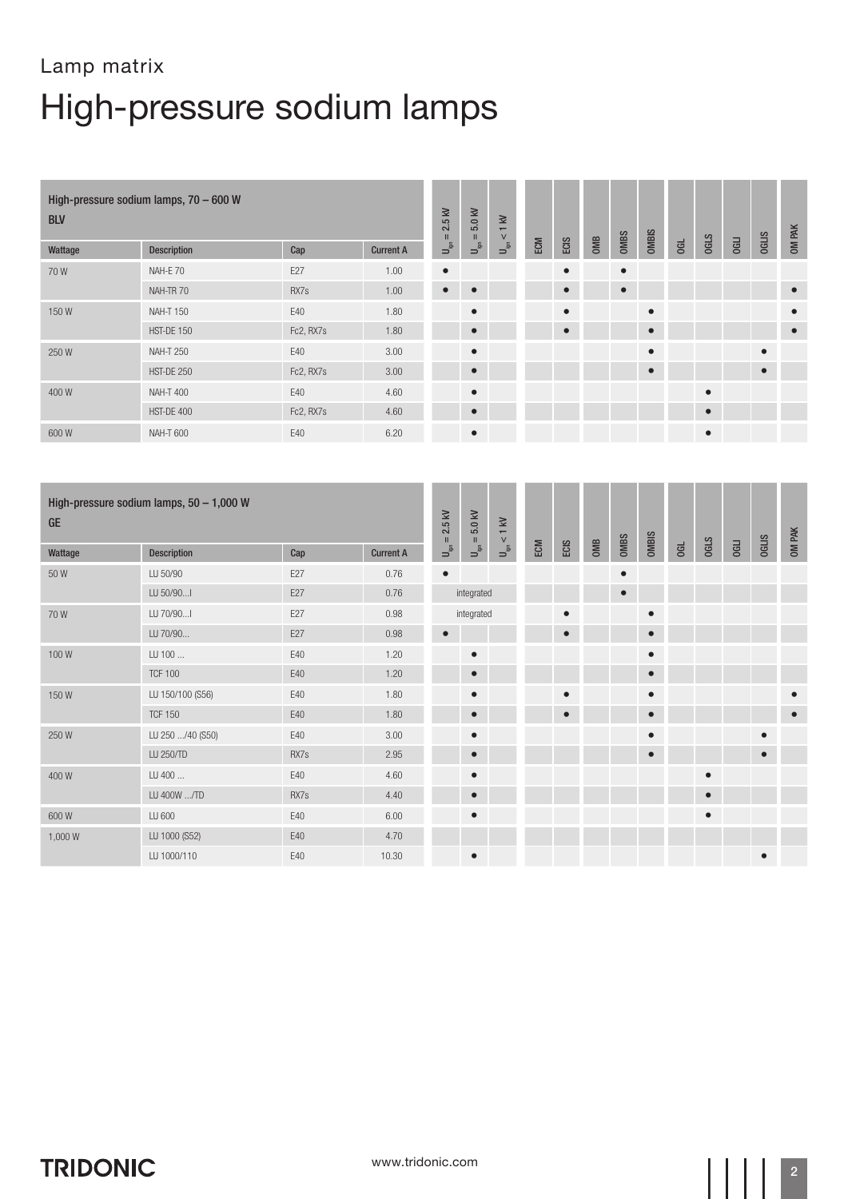| <b>BLV</b> | High-pressure sodium lamps, 70 - 600 W |           |                  | $2.5$ kV<br>$\mathbf{H}$                 | 5.0 kV<br>$\rm H$                         | $1$ kV<br>$\vee$                                |     |           |     |             |           |           |             |             |              | OM PAK    |
|------------|----------------------------------------|-----------|------------------|------------------------------------------|-------------------------------------------|-------------------------------------------------|-----|-----------|-----|-------------|-----------|-----------|-------------|-------------|--------------|-----------|
| Wattage    | <b>Description</b>                     | Cap       | <b>Current A</b> | $\mathsf{U}_{\mathsf{gen}}^{\mathsf{S}}$ | $\mathsf{U}_{\mathsf{gen}}^{\varepsilon}$ | $\overline{\mathsf{L}_{\text{sp}}^{\text{in}}}$ | ECM | ECIS      | OMB | <b>OMBS</b> | OMBIS     | <b>GL</b> | <b>OGLS</b> | <b>OGLI</b> | <b>OGLIS</b> |           |
| 70W        | NAH-E 70                               | E27       | 1.00             | $\bullet$                                |                                           |                                                 |     | $\bullet$ |     | $\bullet$   |           |           |             |             |              |           |
|            | NAH-TR 70                              | RX7s      | 1.00             | $\bullet$                                | $\bullet$                                 |                                                 |     | $\bullet$ |     | $\bullet$   |           |           |             |             |              | $\bullet$ |
| 150W       | <b>NAH-T 150</b>                       | E40       | 1.80             |                                          | $\bullet$                                 |                                                 |     | $\bullet$ |     |             | $\bullet$ |           |             |             |              | $\bullet$ |
|            | HST-DE 150                             | Fc2, RX7s | 1.80             |                                          | $\bullet$                                 |                                                 |     | $\bullet$ |     |             | $\bullet$ |           |             |             |              | $\bullet$ |
| 250W       | <b>NAH-T 250</b>                       | E40       | 3.00             |                                          | $\bullet$                                 |                                                 |     |           |     |             | $\bullet$ |           |             |             |              |           |
|            | <b>HST-DE 250</b>                      | Fc2, RX7s | 3.00             |                                          | $\bullet$                                 |                                                 |     |           |     |             | $\bullet$ |           |             |             | $\bullet$    |           |
| 400W       | <b>NAH-T 400</b>                       | E40       | 4.60             |                                          | $\bullet$                                 |                                                 |     |           |     |             |           |           | $\bullet$   |             |              |           |
|            | HST-DE 400                             | Fc2, RX7s | 4.60             |                                          | $\bullet$                                 |                                                 |     |           |     |             |           |           |             |             |              |           |
| 600W       | <b>NAH-T 600</b>                       | E40       | 6.20             |                                          | $\bullet$                                 |                                                 |     |           |     |             |           |           | $\bullet$   |             |              |           |

| <b>GE</b> | High-pressure sodium lamps, $50 - 1,000$ W |      |                  | 2.5 kV<br>$\rm H$                           | $5.0\ \mathrm{kV}$<br>$\,$ H $\,$ | $< 1$ kV                                    |     |           |     |             |           |   |             |             |              | OM PAK    |
|-----------|--------------------------------------------|------|------------------|---------------------------------------------|-----------------------------------|---------------------------------------------|-----|-----------|-----|-------------|-----------|---|-------------|-------------|--------------|-----------|
| Wattage   | <b>Description</b>                         | Cap  | <b>Current A</b> | $\begin{bmatrix} 1 \\ 0 \\ 0 \end{bmatrix}$ | $\mathsf{u}^{\mathsf{S}}$         | $\begin{bmatrix} 1 \\ 0 \\ 0 \end{bmatrix}$ | ECM | ECIS      | OMB | <b>OMBS</b> | OMBIS     | G | <b>OGLS</b> | <b>OGLI</b> | <b>OGLIS</b> |           |
| 50 W      | LU 50/90                                   | E27  | 0.76             | $\bullet$                                   |                                   |                                             |     |           |     | $\bullet$   |           |   |             |             |              |           |
|           | LU 50/90                                   | E27  | 0.76             |                                             | integrated                        |                                             |     |           |     | $\bullet$   |           |   |             |             |              |           |
| 70W       | LU 70/90                                   | E27  | 0.98             |                                             | integrated                        |                                             |     | $\bullet$ |     |             | $\bullet$ |   |             |             |              |           |
|           | LU 70/90                                   | E27  | 0.98             | О                                           |                                   |                                             |     | $\bullet$ |     |             | $\bullet$ |   |             |             |              |           |
| 100W      | LU 100                                     | E40  | 1.20             |                                             | $\bullet$                         |                                             |     |           |     |             | $\bullet$ |   |             |             |              |           |
|           | <b>TCF 100</b>                             | E40  | 1.20             |                                             | $\bullet$                         |                                             |     |           |     |             | $\bullet$ |   |             |             |              |           |
| 150W      | LU 150/100 (S56)                           | E40  | 1.80             |                                             | $\bullet$                         |                                             |     | $\bullet$ |     |             | $\bullet$ |   |             |             |              | $\bullet$ |
|           | <b>TCF 150</b>                             | E40  | 1.80             |                                             | $\bullet$                         |                                             |     | $\bullet$ |     |             | $\bullet$ |   |             |             |              | $\bullet$ |
| 250W      | LU 250 /40 (S50)                           | E40  | 3.00             |                                             | $\bullet$                         |                                             |     |           |     |             | $\bullet$ |   |             |             | $\bullet$    |           |
|           | LU 250/TD                                  | RX7s | 2.95             |                                             | $\bullet$                         |                                             |     |           |     |             | $\bullet$ |   |             |             | $\bullet$    |           |
| 400W      | LU 400                                     | E40  | 4.60             |                                             | $\bullet$                         |                                             |     |           |     |             |           |   | $\bullet$   |             |              |           |
|           | LU 400W /TD                                | RX7s | 4.40             |                                             | $\bullet$                         |                                             |     |           |     |             |           |   |             |             |              |           |
| 600W      | LU 600                                     | E40  | 6.00             |                                             | $\bullet$                         |                                             |     |           |     |             |           |   | $\bullet$   |             |              |           |
| 1,000 W   | LU 1000 (S52)                              | E40  | 4.70             |                                             |                                   |                                             |     |           |     |             |           |   |             |             |              |           |
|           | LU 1000/110                                | E40  | 10.30            |                                             | $\bullet$                         |                                             |     |           |     |             |           |   |             |             | $\bullet$    |           |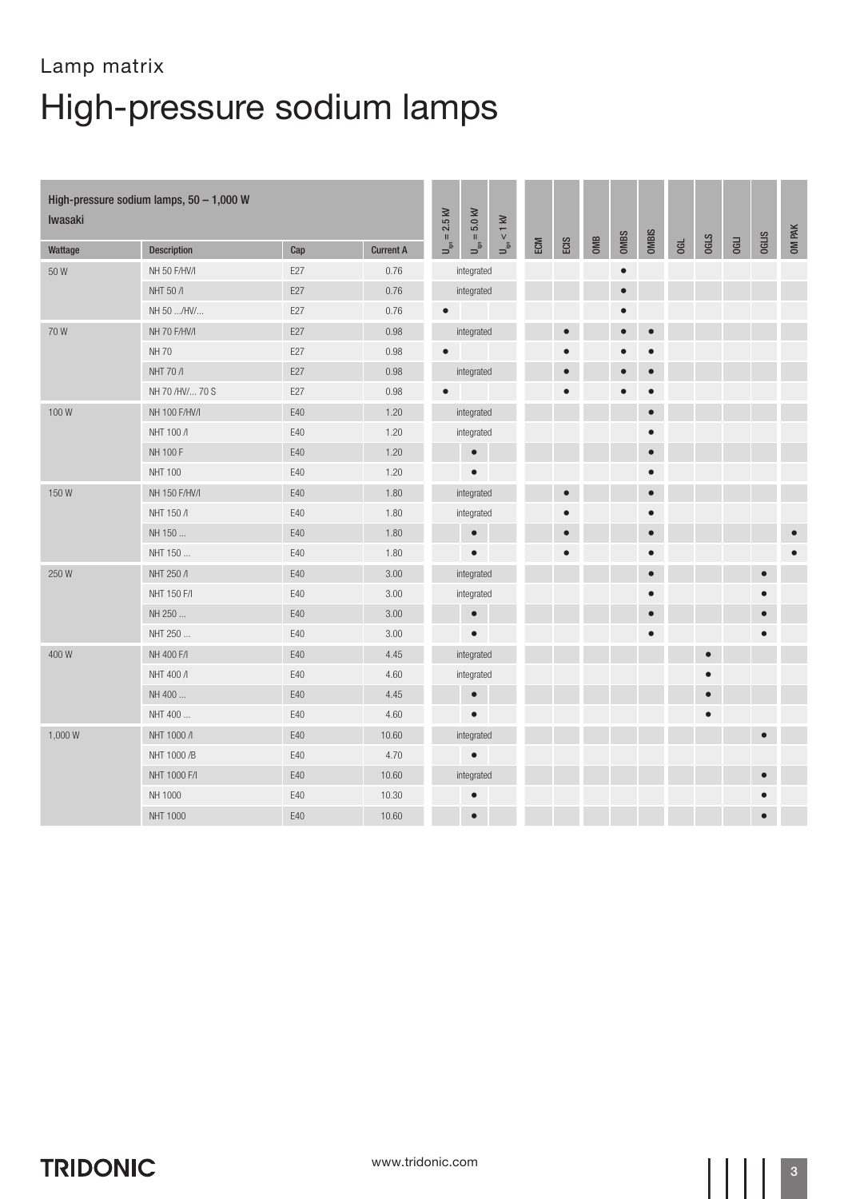| Iwasaki | High-pressure sodium lamps, $50 - 1,000$ W |     |                  | $= 2.5$ kV                | $U_{\rm ign}=5.0$ kV | $U_{\rm ign} < 1~{\rm kV}$ |     |           |     |           |              |    |             |             |              |        |
|---------|--------------------------------------------|-----|------------------|---------------------------|----------------------|----------------------------|-----|-----------|-----|-----------|--------------|----|-------------|-------------|--------------|--------|
| Wattage | <b>Description</b>                         | Cap | <b>Current A</b> | $\mathsf{u}^{\mathsf{S}}$ |                      |                            | ECM | ECIS      | OMB | OMBS      | <b>OMBIS</b> | Gd | <b>OGLS</b> | <b>OGLI</b> | <b>OGLIS</b> | OM PAK |
| 50W     | NH 50 F/HV/I                               | E27 | 0.76             |                           | integrated           |                            |     |           |     | $\bullet$ |              |    |             |             |              |        |
|         | NHT 50 /                                   | E27 | 0.76             |                           | integrated           |                            |     |           |     | $\bullet$ |              |    |             |             |              |        |
|         | NH 50 /HV/                                 | E27 | 0.76             | $\bullet$                 |                      |                            |     |           |     |           |              |    |             |             |              |        |
| 70W     | NH 70 F/HV/I                               | E27 | 0.98             |                           | integrated           |                            |     | $\bullet$ |     | $\bullet$ | $\bullet$    |    |             |             |              |        |
|         | <b>NH70</b>                                | E27 | 0.98             | $\bullet$                 |                      |                            |     | $\bullet$ |     |           | $\bullet$    |    |             |             |              |        |
|         | NHT 70 /                                   | E27 | 0.98             |                           | integrated           |                            |     | $\bullet$ |     |           | $\bullet$    |    |             |             |              |        |
|         | NH 70 /HV/ 70 S                            | E27 | 0.98             | $\bullet$                 |                      |                            |     | $\bullet$ |     | $\bullet$ | $\bullet$    |    |             |             |              |        |
| 100W    | NH 100 F/HV/I                              | E40 | 1.20             |                           | integrated           |                            |     |           |     |           | $\bullet$    |    |             |             |              |        |
|         | NHT 100 /I                                 | E40 | 1.20             |                           | integrated           |                            |     |           |     |           |              |    |             |             |              |        |
|         | NH 100 F                                   | E40 | 1.20             |                           | $\bullet$            |                            |     |           |     |           | $\bullet$    |    |             |             |              |        |
|         | <b>NHT 100</b>                             | E40 | 1.20             |                           | $\bullet$            |                            |     |           |     |           | $\bullet$    |    |             |             |              |        |
| 150W    | NH 150 F/HV/I                              | E40 | 1.80             |                           | integrated           |                            |     | $\bullet$ |     |           | $\bullet$    |    |             |             |              |        |
|         | NHT 150 /                                  | E40 | 1.80             |                           | integrated           |                            |     | $\bullet$ |     |           | $\bullet$    |    |             |             |              |        |
|         | NH 150                                     | E40 | 1.80             |                           | $\bullet$            |                            |     | $\bullet$ |     |           | $\bullet$    |    |             |             |              |        |
|         | NHT 150                                    | E40 | 1.80             |                           | $\bullet$            |                            |     | $\bullet$ |     |           | $\bullet$    |    |             |             |              |        |
| 250 W   | NHT 250 /I                                 | E40 | 3.00             |                           | integrated           |                            |     |           |     |           | $\bullet$    |    |             |             |              |        |
|         | NHT 150 F/I                                | E40 | 3.00             |                           | integrated           |                            |     |           |     |           | $\bullet$    |    |             |             |              |        |
|         | NH 250                                     | E40 | 3.00             |                           | $\bullet$            |                            |     |           |     |           | $\bullet$    |    |             |             |              |        |
|         | NHT 250                                    | E40 | 3.00             |                           | $\bullet$            |                            |     |           |     |           | $\bullet$    |    |             |             |              |        |
| 400 W   | NH 400 F/I                                 | E40 | 4.45             |                           | integrated           |                            |     |           |     |           |              |    | $\bullet$   |             |              |        |
|         | NHT 400 /                                  | E40 | 4.60             |                           | integrated           |                            |     |           |     |           |              |    |             |             |              |        |
|         | NH 400                                     | E40 | 4.45             |                           | $\bullet$            |                            |     |           |     |           |              |    | $\bullet$   |             |              |        |
|         | NHT 400                                    | E40 | 4.60             |                           | $\bullet$            |                            |     |           |     |           |              |    | $\bullet$   |             |              |        |
| 1,000 W | NHT 1000 /I                                | E40 | 10.60            |                           | integrated           |                            |     |           |     |           |              |    |             |             |              |        |
|         | NHT 1000 /B                                | E40 | 4.70             |                           | $\bullet$            |                            |     |           |     |           |              |    |             |             |              |        |
|         | NHT 1000 F/I                               | E40 | 10.60            |                           | integrated           |                            |     |           |     |           |              |    |             |             |              |        |
|         | NH 1000                                    | E40 | 10.30            |                           | $\bullet$            |                            |     |           |     |           |              |    |             |             |              |        |
|         | <b>NHT 1000</b>                            | E40 | 10.60            |                           | $\bullet$            |                            |     |           |     |           |              |    |             |             |              |        |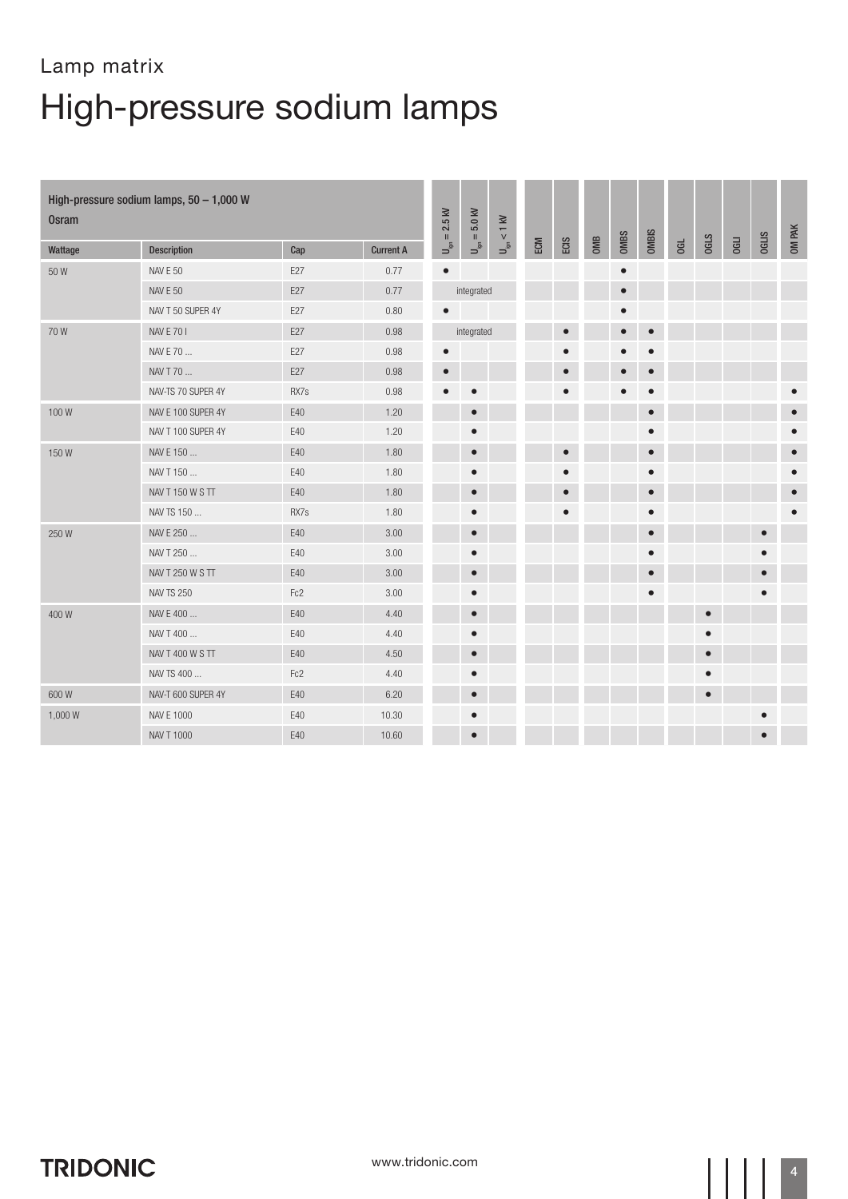| <b>Osram</b> | High-pressure sodium lamps, 50 - 1,000 W |      |                  | $= 2.5$ kV                | $U_{\rm ign}=5.0$ kV | $U_{\rm ign} < 1~{\rm kV}$ |     |           |     |             |           |     |             |             |              | OM PAK    |
|--------------|------------------------------------------|------|------------------|---------------------------|----------------------|----------------------------|-----|-----------|-----|-------------|-----------|-----|-------------|-------------|--------------|-----------|
| Wattage      | <b>Description</b>                       | Cap  | <b>Current A</b> | $\mathsf{p}^{\mathsf{S}}$ |                      |                            | ECM | ECIS      | OMB | <b>OMBS</b> | OMBIS     | 06L | <b>OGLS</b> | <b>OGLI</b> | <b>OGLIS</b> |           |
| 50W          | <b>NAV E 50</b>                          | E27  | 0.77             | $\bullet$                 |                      |                            |     |           |     | $\bullet$   |           |     |             |             |              |           |
|              | <b>NAV E 50</b>                          | E27  | 0.77             |                           | integrated           |                            |     |           |     | $\bullet$   |           |     |             |             |              |           |
|              | NAV T 50 SUPER 4Y                        | E27  | 0.80             | $\bullet$                 |                      |                            |     |           |     | $\bullet$   |           |     |             |             |              |           |
| 70W          | <b>NAV E 701</b>                         | E27  | 0.98             |                           | integrated           |                            |     | $\bullet$ |     | $\bullet$   | $\bullet$ |     |             |             |              |           |
|              | NAV E 70                                 | E27  | 0.98             | $\bullet$                 |                      |                            |     |           |     |             | $\bullet$ |     |             |             |              |           |
|              | NAV T 70                                 | E27  | 0.98             | $\qquad \qquad \bullet$   |                      |                            |     |           |     |             | $\bullet$ |     |             |             |              |           |
|              | NAV-TS 70 SUPER 4Y                       | RX7s | 0.98             | ٠                         | $\bullet$            |                            |     |           |     | $\bullet$   | $\bullet$ |     |             |             |              | $\bullet$ |
| 100W         | NAV E 100 SUPER 4Y                       | E40  | 1.20             |                           | $\bullet$            |                            |     |           |     |             | $\bullet$ |     |             |             |              | $\bullet$ |
|              | NAV T 100 SUPER 4Y                       | E40  | 1.20             |                           | $\bullet$            |                            |     |           |     |             | $\bullet$ |     |             |             |              | $\bullet$ |
| 150W         | NAV E 150                                | E40  | 1.80             |                           | $\bullet$            |                            |     | $\bullet$ |     |             | $\bullet$ |     |             |             |              | $\bullet$ |
|              | NAV T 150                                | E40  | 1.80             |                           |                      |                            |     |           |     |             | $\bullet$ |     |             |             |              | $\bullet$ |
|              | NAV T 150 W S TT                         | E40  | 1.80             |                           | $\bullet$            |                            |     |           |     |             | $\bullet$ |     |             |             |              | $\bullet$ |
|              | NAV TS 150                               | RX7s | 1.80             |                           | $\bullet$            |                            |     |           |     |             | $\bullet$ |     |             |             |              | $\bullet$ |
| 250W         | NAV E 250                                | E40  | 3.00             |                           | $\bullet$            |                            |     |           |     |             | $\bullet$ |     |             |             | $\bullet$    |           |
|              | NAV T 250                                | E40  | 3.00             |                           | $\bullet$            |                            |     |           |     |             | $\bullet$ |     |             |             |              |           |
|              | NAV T 250 W S TT                         | E40  | 3.00             |                           | $\bullet$            |                            |     |           |     |             | $\bullet$ |     |             |             |              |           |
|              | <b>NAV TS 250</b>                        | Fc2  | 3.00             |                           | $\bullet$            |                            |     |           |     |             | $\bullet$ |     |             |             |              |           |
| 400 W        | NAV E 400                                | E40  | 4.40             |                           | $\bullet$            |                            |     |           |     |             |           |     | $\bullet$   |             |              |           |
|              | NAV T 400                                | E40  | 4.40             |                           | $\bullet$            |                            |     |           |     |             |           |     | $\bullet$   |             |              |           |
|              | <b>NAV T 400 W S TT</b>                  | E40  | 4.50             |                           | $\bullet$            |                            |     |           |     |             |           |     | $\bullet$   |             |              |           |
|              | NAV TS 400                               | Fc2  | 4.40             |                           | $\bullet$            |                            |     |           |     |             |           |     | $\bullet$   |             |              |           |
| 600W         | NAV-T 600 SUPER 4Y                       | E40  | 6.20             |                           | $\bullet$            |                            |     |           |     |             |           |     | $\bullet$   |             |              |           |
| 1,000 W      | NAV E 1000                               | E40  | 10.30            |                           | $\bullet$            |                            |     |           |     |             |           |     |             |             |              |           |
|              | NAV T 1000                               | E40  | 10.60            |                           | $\bullet$            |                            |     |           |     |             |           |     |             |             |              |           |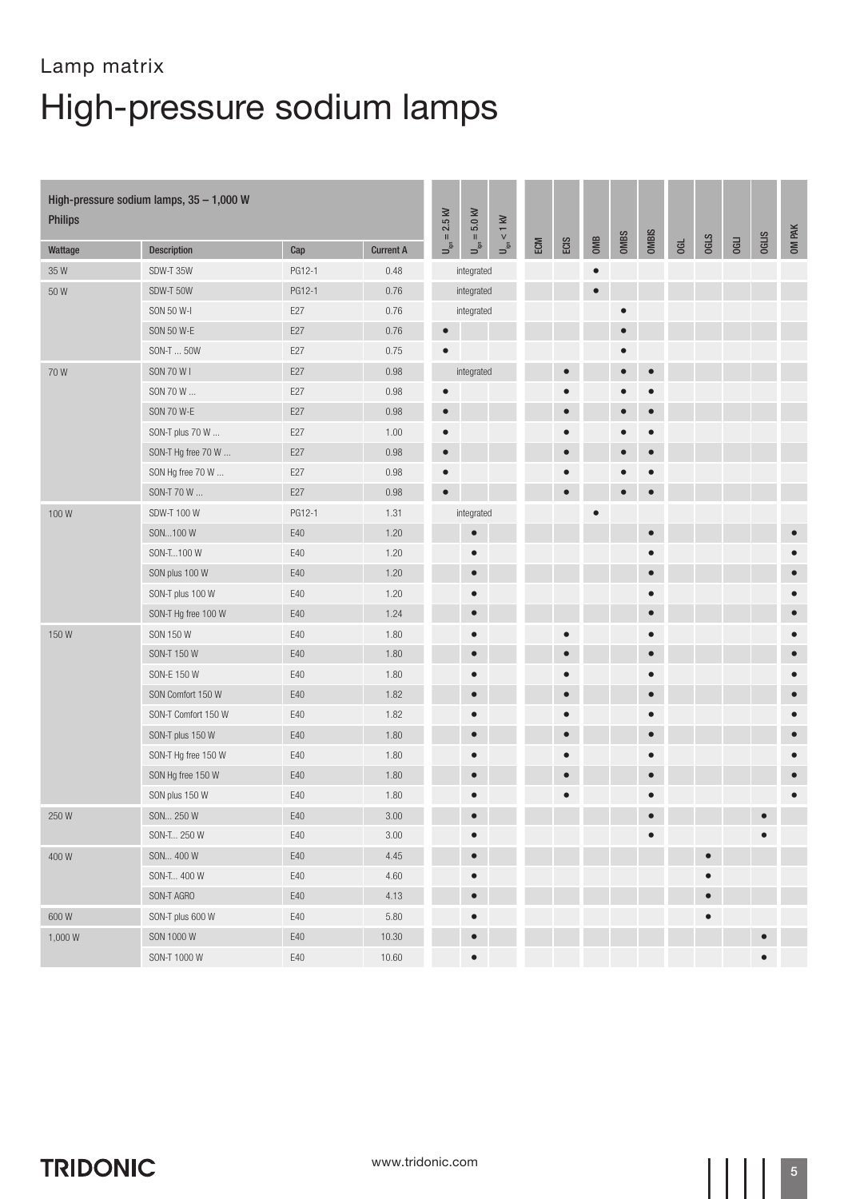| <b>Philips</b>    | High-pressure sodium lamps, 35 - 1,000 W |        |                  | $= 2.5$ kV                           | 5.0 kV<br>$\rm H$          | $< 1$ kV                  |     |           |           |             |           |    |             |             |              |           |
|-------------------|------------------------------------------|--------|------------------|--------------------------------------|----------------------------|---------------------------|-----|-----------|-----------|-------------|-----------|----|-------------|-------------|--------------|-----------|
| Wattage           | Description                              | Cap    | <b>Current A</b> | $\overline{\mathsf{p}}^{\mathsf{S}}$ | $\mathsf{U}_{\mathsf{sp}}$ | $\mathsf{p}^{\mathsf{S}}$ | ECM | ECIS      | OMB       | <b>OMBS</b> | OMBIS     | Gd | <b>OGLS</b> | <b>OGLI</b> | <b>OGLIS</b> | OM PAK    |
| 35W               | SDW-T 35W                                | PG12-1 | 0.48             |                                      | integrated                 |                           |     |           | $\bullet$ |             |           |    |             |             |              |           |
| 50 W              | SDW-T 50W                                | PG12-1 | 0.76             |                                      | integrated                 |                           |     |           | $\bullet$ |             |           |    |             |             |              |           |
|                   | SON 50 W-I                               | E27    | 0.76             |                                      | integrated                 |                           |     |           |           | $\bullet$   |           |    |             |             |              |           |
|                   | SON 50 W-E                               | E27    | 0.76             | $\bullet$                            |                            |                           |     |           |           | $\bullet$   |           |    |             |             |              |           |
|                   | SON-T  50W                               | E27    | 0.75             | $\bullet$                            |                            |                           |     |           |           | $\bullet$   |           |    |             |             |              |           |
| 70W               | SON 70 W I                               | E27    | 0.98             |                                      | integrated                 |                           |     | $\bullet$ |           | $\bullet$   | $\bullet$ |    |             |             |              |           |
|                   | SON 70 W                                 | E27    | 0.98             | $\bullet$                            |                            |                           |     |           |           |             | $\bullet$ |    |             |             |              |           |
|                   | <b>SON 70 W-E</b>                        | E27    | 0.98             | $\bullet$                            |                            |                           |     |           |           | $\bullet$   | $\bullet$ |    |             |             |              |           |
|                   | SON-T plus 70 W                          | E27    | 1.00             | $\bullet$                            |                            |                           |     |           |           |             | $\bullet$ |    |             |             |              |           |
|                   | SON-T Hg free 70 W                       | E27    | 0.98             | $\bullet$                            |                            |                           |     |           |           | $\bullet$   | $\bullet$ |    |             |             |              |           |
|                   | SON Hg free 70 W                         | E27    | 0.98             | $\bullet$                            |                            |                           |     |           |           |             | $\bullet$ |    |             |             |              |           |
|                   | SON-T 70 W                               | E27    | 0.98             | $\bullet$                            |                            |                           |     | $\bullet$ |           | $\bullet$   | $\bullet$ |    |             |             |              |           |
| 100W              | SDW-T 100 W                              | PG12-1 | 1.31             |                                      | integrated                 |                           |     |           |           |             |           |    |             |             |              |           |
|                   | SON100 W                                 | $E40$  | 1.20             |                                      | $\bullet$                  |                           |     |           |           |             | $\bullet$ |    |             |             |              |           |
|                   | SON-T100 W                               | E40    | 1.20             |                                      | $\bullet$                  |                           |     |           |           |             | $\bullet$ |    |             |             |              |           |
|                   | SON plus 100 W                           | E40    | 1.20             |                                      | $\qquad \qquad \bullet$    |                           |     |           |           |             | $\bullet$ |    |             |             |              |           |
|                   | SON-T plus 100 W                         | E40    | 1.20             |                                      | $\bullet$                  |                           |     |           |           |             | $\bullet$ |    |             |             |              | $\bullet$ |
|                   | SON-T Hg free 100 W                      | E40    | 1.24             |                                      | $\bullet$                  |                           |     |           |           |             | $\bullet$ |    |             |             |              | $\bullet$ |
| 150W              | SON 150 W                                | E40    | 1.80             |                                      | $\bullet$                  |                           |     |           |           |             | $\bullet$ |    |             |             |              |           |
|                   | SON-T 150 W                              | E40    | 1.80             |                                      | $\bullet$                  |                           |     | $\bullet$ |           |             | $\bullet$ |    |             |             |              | $\bullet$ |
|                   | SON-E 150 W                              | E40    | 1.80             |                                      |                            |                           |     |           |           |             | $\bullet$ |    |             |             |              | $\bullet$ |
|                   | SON Comfort 150 W                        | E40    | 1.82             |                                      | $\bullet$                  |                           |     | $\bullet$ |           |             | $\bullet$ |    |             |             |              | $\bullet$ |
|                   | SON-T Comfort 150 W                      | E40    | 1.82             |                                      |                            |                           |     |           |           |             | $\bullet$ |    |             |             |              |           |
|                   | SON-T plus 150 W                         | E40    | 1.80             |                                      | $\bullet$                  |                           |     | $\bullet$ |           |             | $\bullet$ |    |             |             |              | $\bullet$ |
|                   | SON-T Hg free 150 W                      | E40    | 1.80             |                                      | $\bullet$                  |                           |     | $\bullet$ |           |             | $\bullet$ |    |             |             |              |           |
|                   | SON Hg free 150 W                        | E40    | 1.80             |                                      | $\bullet$                  |                           |     | $\bullet$ |           |             | $\bullet$ |    |             |             |              | $\bullet$ |
|                   | SON plus 150 W                           | E40    | 1.80             |                                      |                            |                           |     | 0         |           |             | $\bullet$ |    |             |             |              | $\bullet$ |
| $250\,\mathrm{W}$ | SON 250 W                                | E40    | $3.00\,$         |                                      |                            |                           |     |           |           |             |           |    |             |             |              |           |
|                   | SON-T 250 W                              | E40    | $3.00\,$         |                                      | $\bullet$                  |                           |     |           |           |             | $\bullet$ |    |             |             | $\bullet$    |           |
| 400W              | SON 400 W                                | E40    | 4.45             |                                      | $\bullet$                  |                           |     |           |           |             |           |    | $\bullet$   |             |              |           |
|                   | SON-T 400 W                              | E40    | 4.60             |                                      | $\bullet$                  |                           |     |           |           |             |           |    | $\bullet$   |             |              |           |
|                   | SON-T AGRO                               | E40    | 4.13             |                                      | $\bullet$                  |                           |     |           |           |             |           |    | $\bullet$   |             |              |           |
| 600W              | SON-T plus 600 W                         | E40    | 5.80             |                                      | $\bullet$                  |                           |     |           |           |             |           |    | $\bullet$   |             |              |           |
| 1,000W            | SON 1000 W                               | E40    | 10.30            |                                      | $\bullet$                  |                           |     |           |           |             |           |    |             |             | $\bullet$    |           |
|                   | SON-T 1000 W                             | E40    | 10.60            |                                      | $\bullet$                  |                           |     |           |           |             |           |    |             |             | $\bullet$    |           |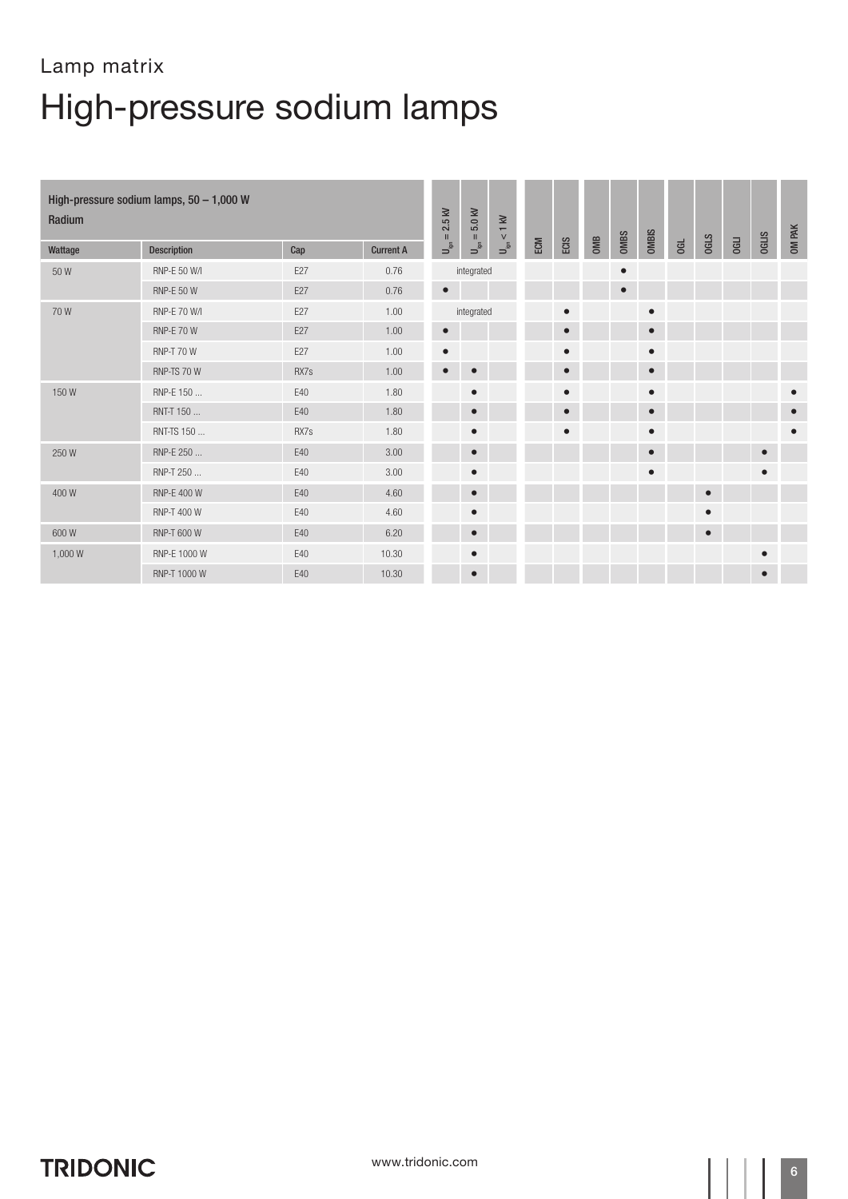| Radium  | High-pressure sodium lamps, $50 - 1,000$ W |      |                  | $= 2.5$ kV                              | 5.0 kV<br>$\mathbf{H}$    | $< 1$ kV                                     |     |           |     |             |              |   |             |             |              | OM PAK    |
|---------|--------------------------------------------|------|------------------|-----------------------------------------|---------------------------|----------------------------------------------|-----|-----------|-----|-------------|--------------|---|-------------|-------------|--------------|-----------|
| Wattage | <b>Description</b>                         | Cap  | <b>Current A</b> | $\mathsf{U}^{\mathsf{S}}_{\mathsf{sp}}$ | $\mathsf{u}^{\mathsf{S}}$ | $\begin{bmatrix} 1 \\ -1 \\ 0 \end{bmatrix}$ | ECM | ECIS      | OMB | <b>OMBS</b> | <b>OMBIS</b> | G | <b>OGLS</b> | <b>OGLI</b> | <b>OGLIS</b> |           |
| 50 W    | RNP-E 50 W/I                               | E27  | 0.76             |                                         | integrated                |                                              |     |           |     | $\bullet$   |              |   |             |             |              |           |
|         | <b>RNP-E 50 W</b>                          | E27  | 0.76             | $\bullet$                               |                           |                                              |     |           |     | $\bullet$   |              |   |             |             |              |           |
| 70W     | <b>RNP-E 70 W/I</b>                        | E27  | 1.00             |                                         | integrated                |                                              |     | $\bullet$ |     |             | $\bullet$    |   |             |             |              |           |
|         | <b>RNP-E 70 W</b>                          | E27  | 1.00             | $\bullet$                               |                           |                                              |     | $\bullet$ |     |             | $\bullet$    |   |             |             |              |           |
|         | <b>RNP-T 70 W</b>                          | E27  | 1.00             | $\bullet$                               |                           |                                              |     | $\bullet$ |     |             | $\bullet$    |   |             |             |              |           |
|         | RNP-TS 70 W                                | RX7s | 1.00             | $\bullet$                               | $\bullet$                 |                                              |     | $\bullet$ |     |             | $\bullet$    |   |             |             |              |           |
| 150W    | RNP-E 150                                  | E40  | 1.80             |                                         | $\bullet$                 |                                              |     | $\bullet$ |     |             | $\bullet$    |   |             |             |              | $\bullet$ |
|         | RNT-T 150                                  | E40  | 1.80             |                                         | $\bullet$                 |                                              |     | 0         |     |             | $\bullet$    |   |             |             |              | $\bullet$ |
|         | RNT-TS 150                                 | RX7s | 1.80             |                                         | $\bullet$                 |                                              |     | $\bullet$ |     |             | $\bullet$    |   |             |             |              | $\bullet$ |
| 250 W   | RNP-E 250                                  | E40  | 3.00             |                                         | $\bullet$                 |                                              |     |           |     |             | $\bullet$    |   |             |             | $\bullet$    |           |
|         | RNP-T 250                                  | E40  | 3.00             |                                         | $\bullet$                 |                                              |     |           |     |             | $\bullet$    |   |             |             | $\bullet$    |           |
| 400 W   | RNP-E 400 W                                | E40  | 4.60             |                                         | $\bullet$                 |                                              |     |           |     |             |              |   | $\bullet$   |             |              |           |
|         | RNP-T 400 W                                | E40  | 4.60             |                                         | $\bullet$                 |                                              |     |           |     |             |              |   | $\bullet$   |             |              |           |
| 600 W   | <b>RNP-T 600 W</b>                         | E40  | 6.20             |                                         | $\bullet$                 |                                              |     |           |     |             |              |   | $\bullet$   |             |              |           |
| 1,000W  | RNP-E 1000 W                               | E40  | 10.30            |                                         | $\bullet$                 |                                              |     |           |     |             |              |   |             |             | с            |           |
|         | RNP-T 1000 W                               | E40  | 10.30            |                                         | $\bullet$                 |                                              |     |           |     |             |              |   |             |             | $\bullet$    |           |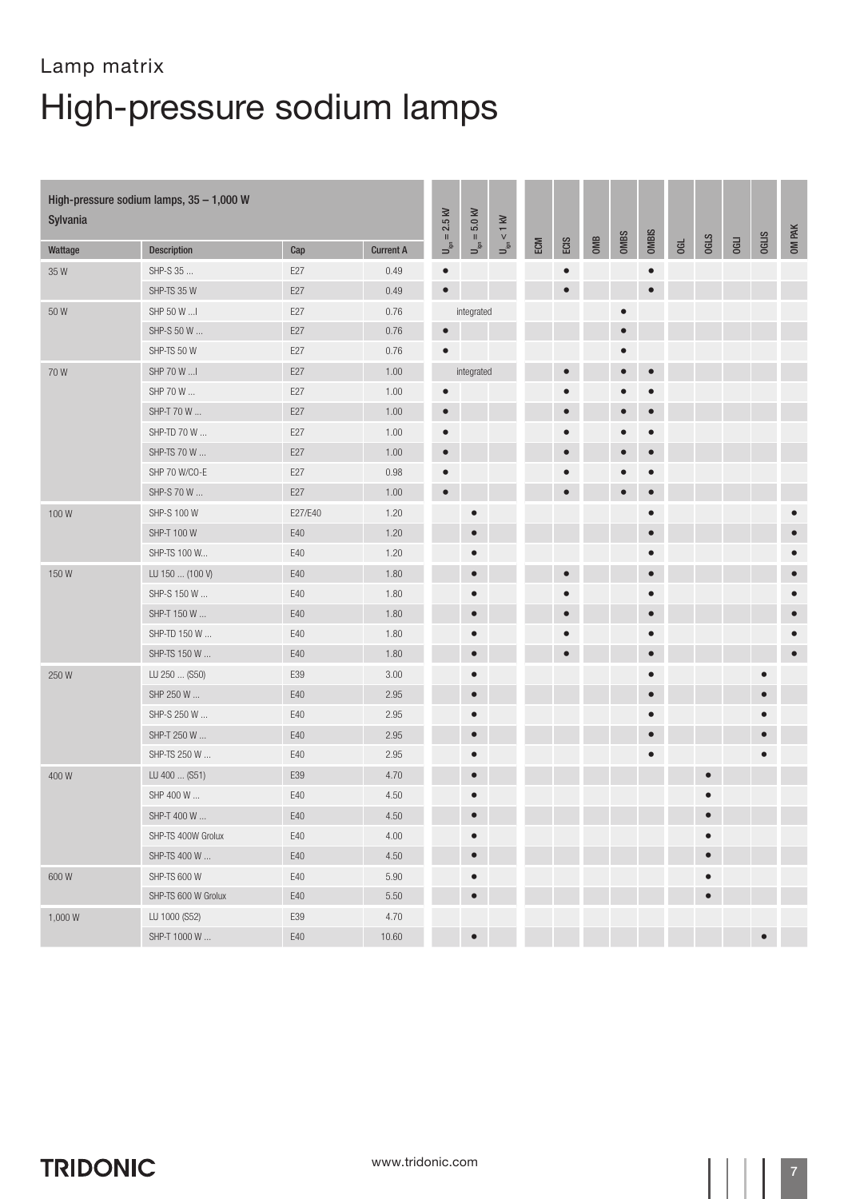| Sylvania | High-pressure sodium lamps, 35 - 1,000 W |         |                  | $= 2.5$ kV                              | $U_{\rm ign}=5.0$ kV | $U_{\rm ign} < 1~{\rm kV}$ |     |           |     |           |              |    |             |      |              |           |
|----------|------------------------------------------|---------|------------------|-----------------------------------------|----------------------|----------------------------|-----|-----------|-----|-----------|--------------|----|-------------|------|--------------|-----------|
| Wattage  | Description                              | Cap     | <b>Current A</b> | $\mathsf{U}^{\mathsf{S}}_{\mathsf{sp}}$ |                      |                            | ECM | ECIS      | OMB | OMBS      | <b>OMBIS</b> | GL | <b>OGLS</b> | OGLI | <b>OGLIS</b> | OM PAK    |
| 35W      | SHP-S 35                                 | E27     | 0.49             | $\bullet$                               |                      |                            |     | $\bullet$ |     |           | $\bullet$    |    |             |      |              |           |
|          | SHP-TS 35 W                              | E27     | 0.49             | $\bullet$                               |                      |                            |     | $\bullet$ |     |           | $\bullet$    |    |             |      |              |           |
| 50W      | SHP 50 W  I                              | E27     | 0.76             |                                         | integrated           |                            |     |           |     | $\bullet$ |              |    |             |      |              |           |
|          | SHP-S 50 W                               | E27     | 0.76             | $\bullet$                               |                      |                            |     |           |     | $\bullet$ |              |    |             |      |              |           |
|          | SHP-TS 50 W                              | E27     | 0.76             | $\bullet$                               |                      |                            |     |           |     | $\bullet$ |              |    |             |      |              |           |
| 70W      | SHP 70 W                                 | E27     | 1.00             |                                         | integrated           |                            |     | $\bullet$ |     | $\bullet$ | $\bullet$    |    |             |      |              |           |
|          | SHP 70 W                                 | E27     | 1.00             | $\bullet$                               |                      |                            |     | ٠         |     | $\bullet$ | $\bullet$    |    |             |      |              |           |
|          | SHP-T 70 W                               | E27     | 1.00             | $\bullet$                               |                      |                            |     | $\bullet$ |     | $\bullet$ | $\bullet$    |    |             |      |              |           |
|          | SHP-TD 70 W                              | E27     | 1.00             | $\bullet$                               |                      |                            |     | $\bullet$ |     | $\bullet$ | $\bullet$    |    |             |      |              |           |
|          | SHP-TS 70 W                              | E27     | 1.00             | $\bullet$                               |                      |                            |     | $\bullet$ |     | $\bullet$ | $\bullet$    |    |             |      |              |           |
|          | SHP 70 W/CO-E                            | E27     | 0.98             | $\bullet$                               |                      |                            |     |           |     | $\bullet$ | $\bullet$    |    |             |      |              |           |
|          | SHP-S 70 W                               | E27     | 1.00             | $\bullet$                               |                      |                            |     | $\bullet$ |     | $\bullet$ | $\bullet$    |    |             |      |              |           |
| 100W     | SHP-S 100 W                              | E27/E40 | 1.20             |                                         | $\bullet$            |                            |     |           |     |           | $\bullet$    |    |             |      |              |           |
|          | SHP-T 100 W                              | E40     | 1.20             |                                         | $\bullet$            |                            |     |           |     |           | $\bullet$    |    |             |      |              |           |
|          | SHP-TS 100 W                             | E40     | 1.20             |                                         | $\bullet$            |                            |     |           |     |           | $\bullet$    |    |             |      |              | $\bullet$ |
| 150W     | LU 150  (100 V)                          | E40     | 1.80             |                                         | $\bullet$            |                            |     | $\bullet$ |     |           | $\bullet$    |    |             |      |              | $\bullet$ |
|          | SHP-S 150 W                              | E40     | 1.80             |                                         | $\bullet$            |                            |     | $\bullet$ |     |           | $\bullet$    |    |             |      |              |           |
|          | SHP-T 150 W                              | E40     | 1.80             |                                         | $\bullet$            |                            |     | $\bullet$ |     |           | $\bullet$    |    |             |      |              | $\bullet$ |
|          | SHP-TD 150 W                             | E40     | 1.80             |                                         | $\bullet$            |                            |     |           |     |           | $\bullet$    |    |             |      |              |           |
|          | SHP-TS 150 W                             | E40     | 1.80             |                                         | $\bullet$            |                            |     | $\bullet$ |     |           | $\bullet$    |    |             |      |              | $\bullet$ |
| 250W     | LU 250  (S50)                            | E39     | 3.00             |                                         | $\bullet$            |                            |     |           |     |           | $\bullet$    |    |             |      | $\bullet$    |           |
|          | SHP 250 W                                | E40     | 2.95             |                                         | $\bullet$            |                            |     |           |     |           | $\bullet$    |    |             |      | $\bullet$    |           |
|          | SHP-S 250 W                              | E40     | 2.95             |                                         | $\bullet$            |                            |     |           |     |           | $\bullet$    |    |             |      |              |           |
|          | SHP-T 250 W                              | E40     | 2.95             |                                         | $\bullet$            |                            |     |           |     |           | $\bullet$    |    |             |      | $\bullet$    |           |
|          | SHP-TS 250 W                             | E40     | 2.95             |                                         | $\bullet$            |                            |     |           |     |           | $\bullet$    |    |             |      | $\bullet$    |           |
| 400W     | LU 400  (S51)                            | E39     | 4.70             |                                         | $\bullet$            |                            |     |           |     |           |              |    | $\bullet$   |      |              |           |
|          | SHP 400 W                                | E40     | 4.50             |                                         |                      |                            |     |           |     |           |              |    |             |      |              |           |
|          | SHP-T 400 W                              | E40     | 4.50             |                                         |                      |                            |     |           |     |           |              |    |             |      |              |           |
|          | SHP-TS 400W Grolux                       | E40     | 4.00             |                                         | $\bullet$            |                            |     |           |     |           |              |    | $\bullet$   |      |              |           |
|          | SHP-TS 400 W                             | $E40$   | 4.50             |                                         | $\bullet$            |                            |     |           |     |           |              |    | $\bullet$   |      |              |           |
| 600W     | SHP-TS 600 W                             | E40     | 5.90             |                                         | $\bullet$            |                            |     |           |     |           |              |    | $\bullet$   |      |              |           |
|          | SHP-TS 600 W Grolux                      | E40     | 5.50             |                                         | $\bullet$            |                            |     |           |     |           |              |    | $\bullet$   |      |              |           |
| 1,000W   | LU 1000 (S52)                            | E39     | 4.70             |                                         |                      |                            |     |           |     |           |              |    |             |      |              |           |
|          | SHP-T 1000 W                             | $E40$   | 10.60            |                                         | $\bullet$            |                            |     |           |     |           |              |    |             |      | $\bullet$    |           |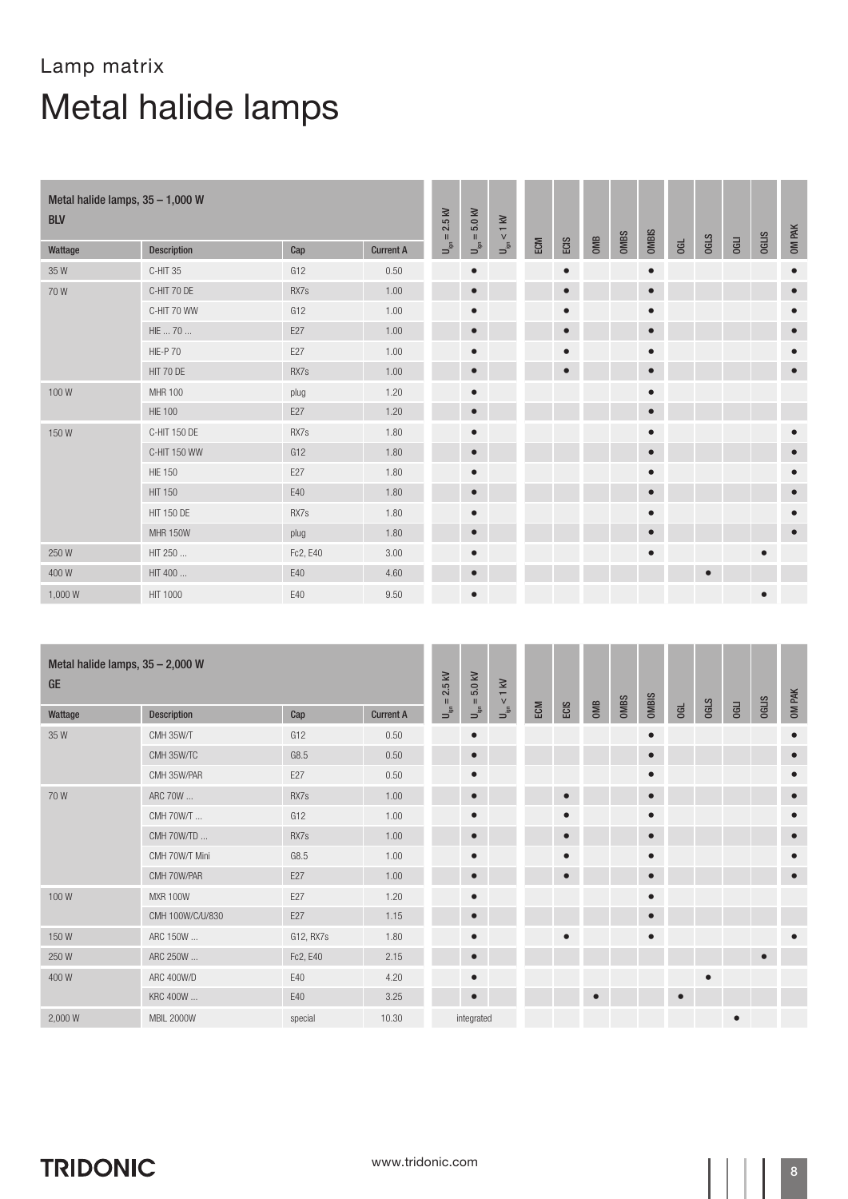| Metal halide lamps, 35 - 1,000 W<br><b>BLV</b> |                    |          |                  | 2.5 kV<br>$\,$ II         | 5.0 KV<br>$\rm H$           | $< 1$ kV                             |     |           |     |      |              |     |             |             |              | OM PAK    |
|------------------------------------------------|--------------------|----------|------------------|---------------------------|-----------------------------|--------------------------------------|-----|-----------|-----|------|--------------|-----|-------------|-------------|--------------|-----------|
| Wattage                                        | <b>Description</b> | Cap      | <b>Current A</b> | $\mathsf{P}_{\mathsf{S}}$ | $\mathsf{U}^{\mathsf{fin}}$ | $\mathsf{u}^\mathsf{in}_\mathsf{sp}$ | ECM | ECIS      | OMB | OMBS | <b>OMBIS</b> | 00L | <b>OGLS</b> | <b>OGLI</b> | <b>OGLIS</b> |           |
| 35W                                            | C-HIT 35           | G12      | 0.50             |                           | $\bullet$                   |                                      |     | $\bullet$ |     |      | $\bullet$    |     |             |             |              | $\bullet$ |
| 70W                                            | C-HIT 70 DE        | RX7s     | 1.00             |                           | $\bullet$                   |                                      |     | $\bullet$ |     |      | $\bullet$    |     |             |             |              | $\bullet$ |
|                                                | C-HIT 70 WW        | G12      | 1.00             |                           | $\bullet$                   |                                      |     | $\bullet$ |     |      | $\bullet$    |     |             |             |              | $\bullet$ |
|                                                | HIE  70            | E27      | 1.00             |                           | $\bullet$                   |                                      |     | $\bullet$ |     |      | $\bullet$    |     |             |             |              | $\bullet$ |
|                                                | <b>HIE-P70</b>     | E27      | 1.00             |                           | $\bullet$                   |                                      |     | $\bullet$ |     |      | $\bullet$    |     |             |             |              | $\bullet$ |
|                                                | HIT 70 DE          | RX7s     | 1.00             |                           | $\bullet$                   |                                      |     | $\bullet$ |     |      | $\bullet$    |     |             |             |              | $\bullet$ |
| 100W                                           | <b>MHR 100</b>     | plug     | 1.20             |                           | $\bullet$                   |                                      |     |           |     |      | $\bullet$    |     |             |             |              |           |
|                                                | <b>HIE 100</b>     | E27      | 1.20             |                           | $\bullet$                   |                                      |     |           |     |      | $\bullet$    |     |             |             |              |           |
| 150W                                           | C-HIT 150 DE       | RX7s     | 1.80             |                           | $\bullet$                   |                                      |     |           |     |      | $\bullet$    |     |             |             |              | $\bullet$ |
|                                                | C-HIT 150 WW       | G12      | 1.80             |                           | $\bullet$                   |                                      |     |           |     |      | $\bullet$    |     |             |             |              | $\bullet$ |
|                                                | <b>HIE 150</b>     | E27      | 1.80             |                           | $\bullet$                   |                                      |     |           |     |      | $\bullet$    |     |             |             |              | $\bullet$ |
|                                                | <b>HIT 150</b>     | E40      | 1.80             |                           | $\bullet$                   |                                      |     |           |     |      | $\bullet$    |     |             |             |              | $\bullet$ |
|                                                | <b>HIT 150 DE</b>  | RX7s     | 1.80             |                           | $\bullet$                   |                                      |     |           |     |      | $\bullet$    |     |             |             |              | $\bullet$ |
|                                                | <b>MHR 150W</b>    | plug     | 1.80             |                           | $\bullet$                   |                                      |     |           |     |      | $\bullet$    |     |             |             |              | $\bullet$ |
| 250W                                           | HIT 250            | Fc2, E40 | 3.00             |                           | $\bullet$                   |                                      |     |           |     |      | $\bullet$    |     |             |             | $\bullet$    |           |
| 400W                                           | HIT 400            | E40      | 4.60             |                           | $\bullet$                   |                                      |     |           |     |      |              |     | $\bullet$   |             |              |           |
| 1,000 W                                        | HIT 1000           | E40      | 9.50             |                           | $\bullet$                   |                                      |     |           |     |      |              |     |             |             | $\bullet$    |           |

| Metal halide lamps, $35 - 2,000$ W<br><b>GE</b> |                   |           |                  | $= 2.5$ kV                | 5.0 kV<br>$\rm H$         | $\lessapprox$<br>$\overline{\sqrt{2}}$ |     |           |           |             |              |           |             |             |              | <b>OM PAK</b> |
|-------------------------------------------------|-------------------|-----------|------------------|---------------------------|---------------------------|----------------------------------------|-----|-----------|-----------|-------------|--------------|-----------|-------------|-------------|--------------|---------------|
| Wattage                                         | Description       | Cap       | <b>Current A</b> | $\mathsf{P}_{\mathsf{S}}$ | $\mathsf{u}^{\mathsf{g}}$ | $\frac{5}{2}$                          | ECM | ECIS      | OMB       | <b>OMBS</b> | <b>OMBIS</b> | 06L       | <b>OGLS</b> | <b>OGLI</b> | <b>OGLIS</b> |               |
| 35W                                             | CMH 35W/T         | G12       | 0.50             |                           | $\bullet$                 |                                        |     |           |           |             | $\bullet$    |           |             |             |              | $\bullet$     |
|                                                 | CMH 35W/TC        | G8.5      | 0.50             |                           | $\bullet$                 |                                        |     |           |           |             | $\bullet$    |           |             |             |              | $\bullet$     |
|                                                 | CMH 35W/PAR       | E27       | 0.50             |                           | $\bullet$                 |                                        |     |           |           |             | $\bullet$    |           |             |             |              | $\bullet$     |
| 70W                                             | ARC 70W           | RX7s      | 1.00             |                           | $\bullet$                 |                                        |     | $\bullet$ |           |             | $\bullet$    |           |             |             |              | $\bullet$     |
|                                                 | CMH 70W/T         | G12       | 1.00             |                           | $\bullet$                 |                                        |     | $\bullet$ |           |             | $\bullet$    |           |             |             |              | $\bullet$     |
|                                                 | CMH 70W/TD        | RX7s      | 1.00             |                           | $\bullet$                 |                                        |     | $\bullet$ |           |             | $\bullet$    |           |             |             |              | $\bullet$     |
|                                                 | CMH 70W/T Mini    | G8.5      | 1.00             |                           | $\bullet$                 |                                        |     | $\bullet$ |           |             | $\bullet$    |           |             |             |              | $\bullet$     |
|                                                 | CMH 70W/PAR       | E27       | 1.00             |                           | $\bullet$                 |                                        |     |           |           |             | $\bullet$    |           |             |             |              | $\bullet$     |
| 100W                                            | <b>MXR 100W</b>   | E27       | 1.20             |                           | $\bullet$                 |                                        |     |           |           |             | $\bullet$    |           |             |             |              |               |
|                                                 | CMH 100W/C/U/830  | E27       | 1.15             |                           | $\bullet$                 |                                        |     |           |           |             | $\bullet$    |           |             |             |              |               |
| 150W                                            | ARC 150W          | G12, RX7s | 1.80             |                           | $\bullet$                 |                                        |     | $\bullet$ |           |             | $\bullet$    |           |             |             |              | $\bullet$     |
| 250W                                            | ARC 250W          | Fc2, E40  | 2.15             |                           | $\bullet$                 |                                        |     |           |           |             |              |           |             |             | $\bullet$    |               |
| 400W                                            | ARC 400W/D        | E40       | 4.20             |                           | $\bullet$                 |                                        |     |           |           |             |              |           | $\bullet$   |             |              |               |
|                                                 | KRC 400W          | E40       | 3.25             |                           | $\bullet$                 |                                        |     |           | $\bullet$ |             |              | $\bullet$ |             |             |              |               |
| 2,000 W                                         | <b>MBIL 2000W</b> | special   | 10.30            |                           | integrated                |                                        |     |           |           |             |              |           |             | $\bullet$   |              |               |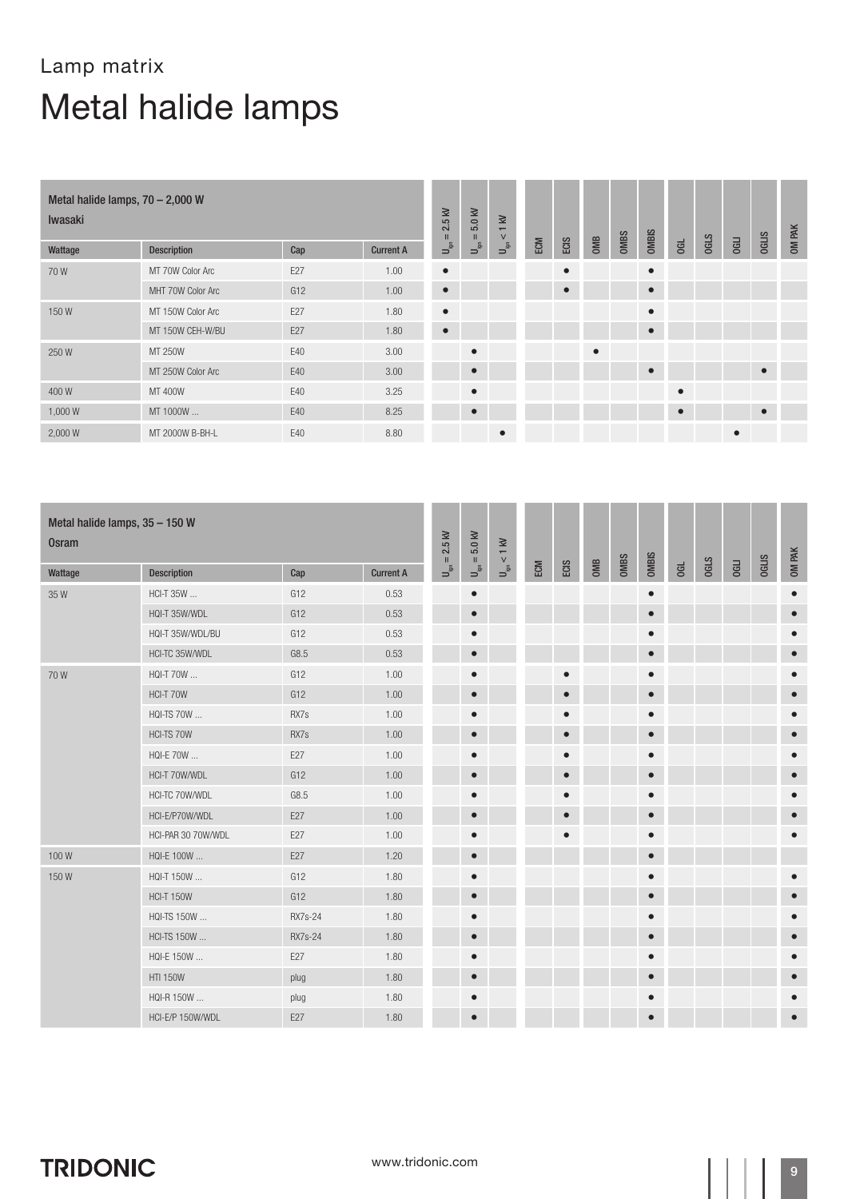| Metal halide lamps, $70 - 2,000$ W<br>Iwasaki |                    |     |                  | $2.5$ kV<br>$\mathbf{H}$                                | 5.0 kV<br>$\mathbf{H}$     | $1$ kV<br>$\vee$                             |     |           |           |             |           |           |             |             |              | <b>OM PAK</b> |
|-----------------------------------------------|--------------------|-----|------------------|---------------------------------------------------------|----------------------------|----------------------------------------------|-----|-----------|-----------|-------------|-----------|-----------|-------------|-------------|--------------|---------------|
| Wattage                                       | <b>Description</b> | Cap | <b>Current A</b> | $\begin{array}{c} \mathbf{S} \\ \mathbf{S} \end{array}$ | $\mathsf{u}^{\mathsf{in}}$ | $\begin{bmatrix} 1 \\ -1 \\ 0 \end{bmatrix}$ | ECM | ECIS      | OMB       | <b>OMBS</b> | OMBIS     | <b>GL</b> | <b>OGLS</b> | <b>OGLI</b> | <b>OGLIS</b> |               |
| 70W                                           | MT 70W Color Arc   | E27 | 1.00             | $\bullet$                                               |                            |                                              |     | $\bullet$ |           |             | $\bullet$ |           |             |             |              |               |
|                                               | MHT 70W Color Arc  | G12 | 1.00             | $\bullet$                                               |                            |                                              |     | $\bullet$ |           |             | $\bullet$ |           |             |             |              |               |
| 150W                                          | MT 150W Color Arc  | E27 | 1.80             | $\bullet$                                               |                            |                                              |     |           |           |             | $\bullet$ |           |             |             |              |               |
|                                               | MT 150W CEH-W/BU   | E27 | 1.80             | $\bullet$                                               |                            |                                              |     |           |           |             | $\bullet$ |           |             |             |              |               |
| 250W                                          | MT 250W            | E40 | 3.00             |                                                         | $\bullet$                  |                                              |     |           | $\bullet$ |             |           |           |             |             |              |               |
|                                               | MT 250W Color Arc  | E40 | 3.00             |                                                         | $\bullet$                  |                                              |     |           |           |             | $\bullet$ |           |             |             | $\bullet$    |               |
| 400W                                          | MT 400W            | E40 | 3.25             |                                                         | $\bullet$                  |                                              |     |           |           |             |           | $\bullet$ |             |             |              |               |
| 1,000 W                                       | MT 1000W           | E40 | 8.25             |                                                         | $\bullet$                  |                                              |     |           |           |             |           | $\bullet$ |             |             | $\bullet$    |               |
| 2,000 W                                       | MT 2000W B-BH-L    | E40 | 8.80             |                                                         |                            | $\bullet$                                    |     |           |           |             |           |           |             | $\bullet$   |              |               |

| Metal halide lamps, 35 - 150 W<br><b>Osram</b> |                    |         |                  | $U_{\rm ign}=2.5~{\rm kV}$ | $5.0$ kV                      | $< 1$ KV                  |     |           |     |      |              |    |             |             |              |           |
|------------------------------------------------|--------------------|---------|------------------|----------------------------|-------------------------------|---------------------------|-----|-----------|-----|------|--------------|----|-------------|-------------|--------------|-----------|
| Wattage                                        | <b>Description</b> | Cap     | <b>Current A</b> |                            | $\mathsf{U}_{\mathsf{ign}} =$ | $\mathbf{J}_{\text{gen}}$ | ECM | ECIS      | OMB | OMBS | <b>OMBIS</b> | GL | <b>OGLS</b> | <b>OGLI</b> | <b>OGLIS</b> | OM PAK    |
| 35W                                            | HCI-T 35W          | G12     | 0.53             |                            | $\bullet$                     |                           |     |           |     |      | $\bullet$    |    |             |             |              | $\bullet$ |
|                                                | HQI-T 35W/WDL      | G12     | 0.53             |                            | $\bullet$                     |                           |     |           |     |      | $\bullet$    |    |             |             |              | $\bullet$ |
|                                                | HQI-T 35W/WDL/BU   | G12     | 0.53             |                            | $\bullet$                     |                           |     |           |     |      | ٠            |    |             |             |              |           |
|                                                | HCI-TC 35W/WDL     | G8.5    | 0.53             |                            | $\bullet$                     |                           |     |           |     |      | $\bullet$    |    |             |             |              |           |
| 70W                                            | HQI-T 70W          | G12     | 1.00             |                            | $\bullet$                     |                           |     | $\bullet$ |     |      | $\bullet$    |    |             |             |              |           |
|                                                | HCI-T 70W          | G12     | 1.00             |                            | $\bullet$                     |                           |     | $\bullet$ |     |      | $\bullet$    |    |             |             |              | $\bullet$ |
|                                                | HQI-TS 70W         | RX7s    | 1.00             |                            | $\bullet$                     |                           |     | $\bullet$ |     |      | О            |    |             |             |              | $\bullet$ |
|                                                | HCI-TS 70W         | RX7s    | 1.00             |                            | $\bullet$                     |                           |     | $\bullet$ |     |      | $\bullet$    |    |             |             |              |           |
|                                                | HQI-E 70W          | E27     | 1.00             |                            | $\bullet$                     |                           |     | $\bullet$ |     |      | $\bullet$    |    |             |             |              | $\bullet$ |
|                                                | HCI-T 70W/WDL      | G12     | 1.00             |                            | $\bullet$                     |                           |     | $\bullet$ |     |      | $\bullet$    |    |             |             |              |           |
|                                                | HCI-TC 70W/WDL     | G8.5    | 1.00             |                            | $\bullet$                     |                           |     | $\bullet$ |     |      | $\bullet$    |    |             |             |              | $\bullet$ |
|                                                | HCI-E/P70W/WDL     | E27     | 1.00             |                            | $\bullet$                     |                           |     | $\bullet$ |     |      | $\bullet$    |    |             |             |              | $\bullet$ |
|                                                | HCI-PAR 30 70W/WDL | E27     | 1.00             |                            | $\bullet$                     |                           |     | О         |     |      | $\bullet$    |    |             |             |              |           |
| 100W                                           | HQI-E 100W         | E27     | 1.20             |                            | $\bullet$                     |                           |     |           |     |      | $\bullet$    |    |             |             |              |           |
| 150W                                           | HQI-T 150W         | G12     | 1.80             |                            | $\bullet$                     |                           |     |           |     |      | О            |    |             |             |              |           |
|                                                | <b>HCI-T 150W</b>  | G12     | 1.80             |                            | $\bullet$                     |                           |     |           |     |      | $\bullet$    |    |             |             |              | $\bullet$ |
|                                                | HQI-TS 150W        | RX7s-24 | 1.80             |                            | $\bullet$                     |                           |     |           |     |      | О            |    |             |             |              |           |
|                                                | HCI-TS 150W        | RX7s-24 | 1.80             |                            | $\bullet$                     |                           |     |           |     |      |              |    |             |             |              |           |
|                                                | HQI-E 150W         | E27     | 1.80             |                            | $\bullet$                     |                           |     |           |     |      | $\bullet$    |    |             |             |              | $\bullet$ |
|                                                | <b>HTI 150W</b>    | plug    | 1.80             |                            | $\bullet$                     |                           |     |           |     |      |              |    |             |             |              |           |
|                                                | HQI-R 150W         | plug    | 1.80             |                            | $\bullet$                     |                           |     |           |     |      | $\bullet$    |    |             |             |              | $\bullet$ |
|                                                | HCI-E/P 150W/WDL   | E27     | 1.80             |                            | $\bullet$                     |                           |     |           |     |      | $\bullet$    |    |             |             |              | $\bullet$ |

**TRIDONIC**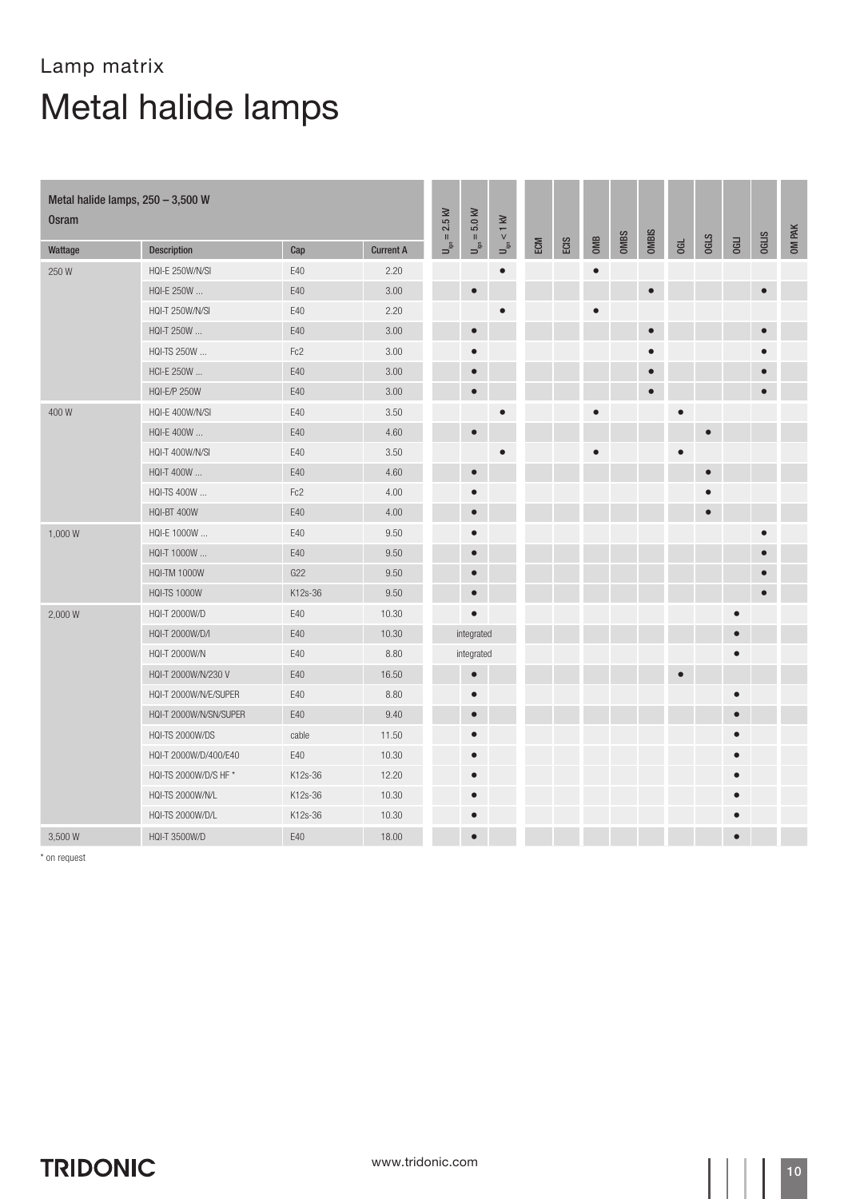| Metal halide lamps, 250 - 3,500 W<br><b>Osram</b> |                         |         |                  | $= 2.5$ kV                               | $U_{\rm ign}=5.0$ kV | $U_{\rm ign} < 1~{\rm kV}$ |     |      |           |      |              |           |             |             |              | OM PAK |
|---------------------------------------------------|-------------------------|---------|------------------|------------------------------------------|----------------------|----------------------------|-----|------|-----------|------|--------------|-----------|-------------|-------------|--------------|--------|
| Wattage                                           | <b>Description</b>      | Cap     | <b>Current A</b> | $\mathsf{U}_{\mathsf{gen}}^{\mathsf{S}}$ |                      |                            | ECM | ECIS | OMB       | OMBS | <b>OMBIS</b> | G         | <b>OGLS</b> | <b>OGLI</b> | <b>OGLIS</b> |        |
| 250W                                              | HQI-E 250W/N/SI         | E40     | 2.20             |                                          |                      | $\bullet$                  |     |      | $\bullet$ |      |              |           |             |             |              |        |
|                                                   | HQI-E 250W              | E40     | 3.00             |                                          | $\bullet$            |                            |     |      |           |      | $\bullet$    |           |             |             | $\bullet$    |        |
|                                                   | HQI-T 250W/N/SI         | E40     | 2.20             |                                          |                      | $\bullet$                  |     |      | $\bullet$ |      |              |           |             |             |              |        |
|                                                   | HQI-T 250W              | E40     | 3.00             |                                          | $\bullet$            |                            |     |      |           |      | $\bullet$    |           |             |             | $\bullet$    |        |
|                                                   | HQI-TS 250W             | Fc2     | 3.00             |                                          |                      |                            |     |      |           |      | $\bullet$    |           |             |             |              |        |
|                                                   | HCI-E 250W              | E40     | 3.00             |                                          | $\bullet$            |                            |     |      |           |      | $\bullet$    |           |             |             |              |        |
|                                                   | <b>HQI-E/P 250W</b>     | E40     | 3.00             |                                          | $\bullet$            |                            |     |      |           |      | $\bullet$    |           |             |             | $\bullet$    |        |
| 400W                                              | HQI-E 400W/N/SI         | E40     | 3.50             |                                          |                      | $\bullet$                  |     |      |           |      |              | $\bullet$ |             |             |              |        |
|                                                   | HQI-E 400W              | E40     | 4.60             |                                          | $\bullet$            |                            |     |      |           |      |              |           | $\bullet$   |             |              |        |
|                                                   | HQI-T 400W/N/SI         | E40     | 3.50             |                                          |                      | $\bullet$                  |     |      |           |      |              | $\bullet$ |             |             |              |        |
|                                                   | HQI-T 400W              | E40     | 4.60             |                                          | $\bullet$            |                            |     |      |           |      |              |           | $\bullet$   |             |              |        |
|                                                   | HQI-TS 400W             | Fc2     | 4.00             |                                          |                      |                            |     |      |           |      |              |           |             |             |              |        |
|                                                   | HQI-BT 400W             | E40     | 4.00             |                                          | $\bullet$            |                            |     |      |           |      |              |           | $\bullet$   |             |              |        |
| 1,000 W                                           | HQI-E 1000W             | E40     | 9.50             |                                          |                      |                            |     |      |           |      |              |           |             |             |              |        |
|                                                   | HQI-T 1000W             | E40     | 9.50             |                                          | $\bullet$            |                            |     |      |           |      |              |           |             |             |              |        |
|                                                   | <b>HQI-TM 1000W</b>     | G22     | 9.50             |                                          | $\bullet$            |                            |     |      |           |      |              |           |             |             | $\bullet$    |        |
|                                                   | <b>HQI-TS 1000W</b>     | K12s-36 | 9.50             |                                          | $\bullet$            |                            |     |      |           |      |              |           |             |             | $\bullet$    |        |
| 2,000 W                                           | HQI-T 2000W/D           | E40     | 10.30            |                                          | $\bullet$            |                            |     |      |           |      |              |           |             |             |              |        |
|                                                   | HQI-T 2000W/D/I         | E40     | 10.30            |                                          | integrated           |                            |     |      |           |      |              |           |             |             |              |        |
|                                                   | HQI-T 2000W/N           | E40     | 8.80             |                                          | integrated           |                            |     |      |           |      |              |           |             |             |              |        |
|                                                   | HQI-T 2000W/N/230 V     | E40     | 16.50            |                                          | $\bullet$            |                            |     |      |           |      |              | $\bullet$ |             |             |              |        |
|                                                   | HQI-T 2000W/N/E/SUPER   | E40     | 8.80             |                                          | $\bullet$            |                            |     |      |           |      |              |           |             |             |              |        |
|                                                   | HQI-T 2000W/N/SN/SUPER  | E40     | 9.40             |                                          |                      |                            |     |      |           |      |              |           |             | $\bullet$   |              |        |
|                                                   | HQI-TS 2000W/DS         | cable   | 11.50            |                                          |                      |                            |     |      |           |      |              |           |             |             |              |        |
|                                                   | HQI-T 2000W/D/400/E40   | E40     | 10.30            |                                          |                      |                            |     |      |           |      |              |           |             |             |              |        |
|                                                   | HQI-TS 2000W/D/S HF *   | K12s-36 | 12.20            |                                          |                      |                            |     |      |           |      |              |           |             |             |              |        |
|                                                   | <b>HQI-TS 2000W/N/L</b> | K12s-36 | 10.30            |                                          |                      |                            |     |      |           |      |              |           |             |             |              |        |
|                                                   | HQI-TS 2000W/D/L        | K12s-36 | 10.30            |                                          |                      |                            |     |      |           |      |              |           |             |             |              |        |
| 3,500 W                                           | <b>HQI-T 3500W/D</b>    | E40     | 18.00            |                                          | $\bullet$            |                            |     |      |           |      |              |           |             |             |              |        |

\* on request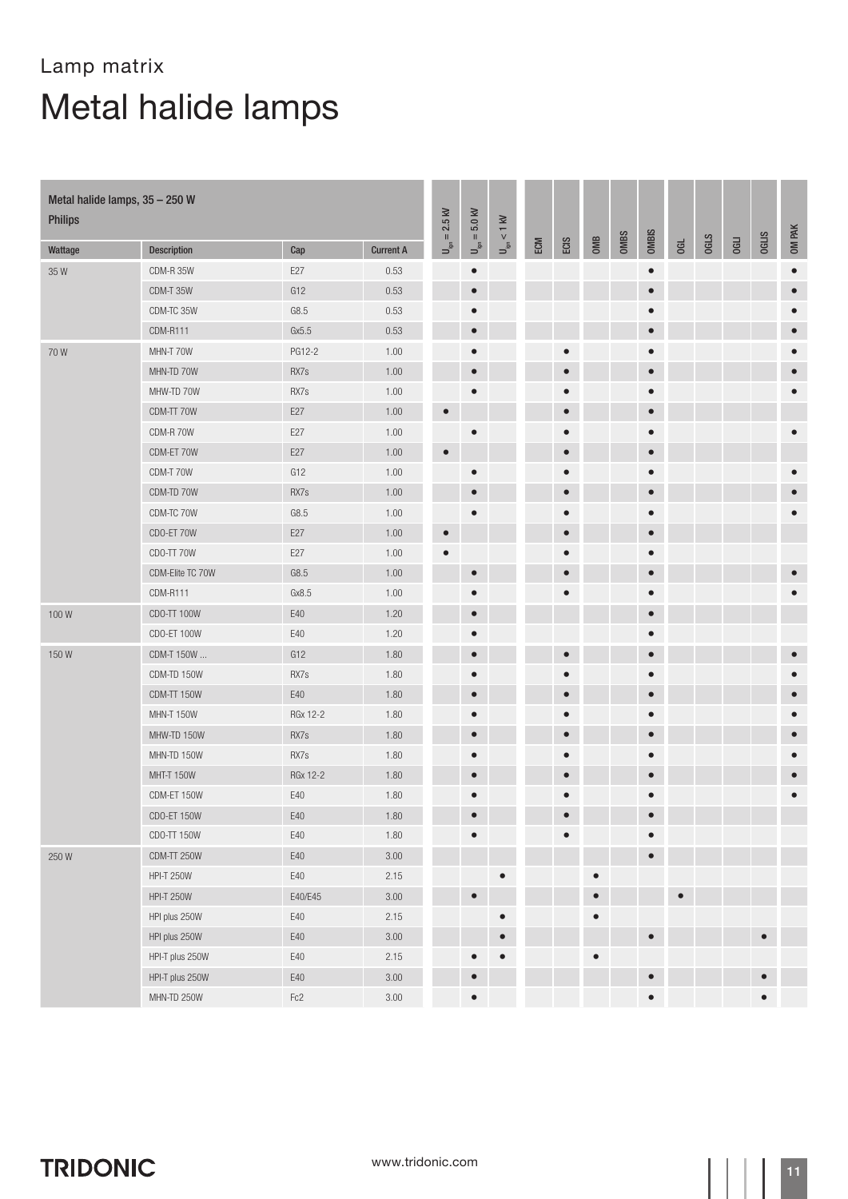| Metal halide lamps, 35 - 250 W<br><b>Philips</b> |                   |                 | $= 2.5$ kV       | $U_{\text{ign}} = 5.0 \text{ kV}$       | $U_{\rm ign} < 1~{\rm kV}$ |           |     |           |           |      |              |           |             |             |              |           |
|--------------------------------------------------|-------------------|-----------------|------------------|-----------------------------------------|----------------------------|-----------|-----|-----------|-----------|------|--------------|-----------|-------------|-------------|--------------|-----------|
| Wattage                                          | Description       | Cap             | <b>Current A</b> | $\mathsf{U}^{\mathsf{S}}_{\mathsf{sp}}$ |                            |           | ECM | ECIS      | OMB       | OMBS | <b>OMBIS</b> | 06L       | <b>OGLS</b> | <b>OGLI</b> | <b>OGLIS</b> | OM PAK    |
| 35W                                              | CDM-R 35W         | E27             | 0.53             |                                         | $\bullet$                  |           |     |           |           |      | $\bullet$    |           |             |             |              | $\bullet$ |
|                                                  | CDM-T 35W         | G12             | 0.53             |                                         | $\bullet$                  |           |     |           |           |      | $\bullet$    |           |             |             |              | $\bullet$ |
|                                                  | CDM-TC 35W        | ${\sf G8.5}$    | 0.53             |                                         | $\bullet$                  |           |     |           |           |      | $\bullet$    |           |             |             |              |           |
|                                                  | CDM-R111          | Gx5.5           | 0.53             |                                         | $\bullet$                  |           |     |           |           |      | $\bullet$    |           |             |             |              |           |
| 70W                                              | MHN-T 70W         | PG12-2          | 1.00             |                                         | $\bullet$                  |           |     |           |           |      | $\bullet$    |           |             |             |              |           |
|                                                  | MHN-TD 70W        | RX7s            | 1.00             |                                         | $\bullet$                  |           |     | $\bullet$ |           |      | $\bullet$    |           |             |             |              |           |
|                                                  | MHW-TD 70W        | RX7s            | 1.00             |                                         | $\bullet$                  |           |     | О         |           |      | $\bullet$    |           |             |             |              |           |
|                                                  | CDM-TT 70W        | E27             | 1.00             | $\bullet$                               |                            |           |     | $\bullet$ |           |      | $\bullet$    |           |             |             |              |           |
|                                                  | CDM-R 70W         | E27             | 1.00             |                                         | $\bullet$                  |           |     | $\bullet$ |           |      | $\bullet$    |           |             |             |              |           |
|                                                  | CDM-ET 70W        | E27             | 1.00             | $\bullet$                               |                            |           |     | $\bullet$ |           |      | $\bullet$    |           |             |             |              |           |
|                                                  | CDM-T 70W         | G12             | 1.00             |                                         | $\bullet$                  |           |     |           |           |      | $\bullet$    |           |             |             |              |           |
|                                                  | CDM-TD 70W        | RX7s            | 1.00             |                                         | $\bullet$                  |           |     | $\bullet$ |           |      | $\bullet$    |           |             |             |              |           |
|                                                  | CDM-TC 70W        | G8.5            | 1.00             |                                         |                            |           |     |           |           |      |              |           |             |             |              |           |
|                                                  | CDO-ET 70W        | E27             | 1.00             | $\bullet$                               |                            |           |     | О         |           |      | $\bullet$    |           |             |             |              |           |
|                                                  | CDO-TT 70W        | E27             | 1.00             | $\bullet$                               |                            |           |     |           |           |      | $\bullet$    |           |             |             |              |           |
|                                                  | CDM-Elite TC 70W  | G8.5            | 1.00             |                                         | $\bullet$                  |           |     | $\bullet$ |           |      | $\bullet$    |           |             |             |              |           |
|                                                  | CDM-R111          | Gx8.5           | 1.00             |                                         | $\bullet$                  |           |     | $\bullet$ |           |      | $\bullet$    |           |             |             |              |           |
| 100W                                             | CDO-TT 100W       | E40             | 1.20             |                                         | $\bullet$                  |           |     |           |           |      | $\bullet$    |           |             |             |              |           |
|                                                  | CDO-ET 100W       | E40             | 1.20             |                                         | $\bullet$                  |           |     |           |           |      |              |           |             |             |              |           |
| 150W                                             | CDM-T 150W        | G12             | 1.80             |                                         | $\bullet$                  |           |     | $\bullet$ |           |      | $\bullet$    |           |             |             |              |           |
|                                                  | CDM-TD 150W       | RX7s            | 1.80             |                                         | $\bullet$                  |           |     |           |           |      | $\bullet$    |           |             |             |              |           |
|                                                  | CDM-TT 150W       | E40             | 1.80             |                                         | $\bullet$                  |           |     | $\bullet$ |           |      | $\bullet$    |           |             |             |              |           |
|                                                  | MHN-T 150W        | RGx 12-2        | 1.80             |                                         | $\bullet$                  |           |     | $\bullet$ |           |      | $\bullet$    |           |             |             |              |           |
|                                                  | MHW-TD 150W       | RX7s            | 1.80             |                                         | $\bullet$                  |           |     | $\bullet$ |           |      | $\bullet$    |           |             |             |              |           |
|                                                  | MHN-TD 150W       | RX7s            | 1.80             |                                         | $\bullet$                  |           |     | $\bullet$ |           |      | $\bullet$    |           |             |             |              |           |
|                                                  | <b>MHT-T 150W</b> | <b>RGx 12-2</b> | 1.80             |                                         | $\bullet$                  |           |     | $\bullet$ |           |      | $\bullet$    |           |             |             |              |           |
|                                                  | CDM-ET 150W       | E40             | 1.80             |                                         |                            |           |     |           |           |      |              |           |             |             |              |           |
|                                                  | CDO-ET 150W       | E40             | 1.80             |                                         |                            |           |     |           |           |      |              |           |             |             |              |           |
|                                                  | CDO-TT 150W       | E40             | 1.80             |                                         | $\bullet$                  |           |     | $\bullet$ |           |      | $\bullet$    |           |             |             |              |           |
| 250W                                             | CDM-TT 250W       | $E40$           | $3.00\,$         |                                         |                            |           |     |           |           |      | $\bullet$    |           |             |             |              |           |
|                                                  | <b>HPI-T 250W</b> | E40             | 2.15             |                                         |                            | $\bullet$ |     |           | $\bullet$ |      |              |           |             |             |              |           |
|                                                  | <b>HPI-T 250W</b> | E40/E45         | $3.00\,$         |                                         | $\bullet$                  |           |     |           | $\bullet$ |      |              | $\bullet$ |             |             |              |           |
|                                                  | HPI plus 250W     | $E40$           | 2.15             |                                         |                            | $\bullet$ |     |           |           |      |              |           |             |             |              |           |
|                                                  | HPI plus 250W     | E40             | $3.00\,$         |                                         |                            | $\bullet$ |     |           |           |      | $\bullet$    |           |             |             |              |           |
|                                                  | HPI-T plus 250W   | $E40$           | 2.15             |                                         |                            |           |     |           |           |      |              |           |             |             |              |           |
|                                                  | HPI-T plus 250W   | $E40$           | $3.00\,$         |                                         | $\bullet$                  |           |     |           |           |      | $\bullet$    |           |             |             |              |           |
|                                                  | MHN-TD 250W       | Fc2             | $3.00\,$         |                                         | $\bullet$                  |           |     |           |           |      | $\bullet$    |           |             |             | $\bullet$    |           |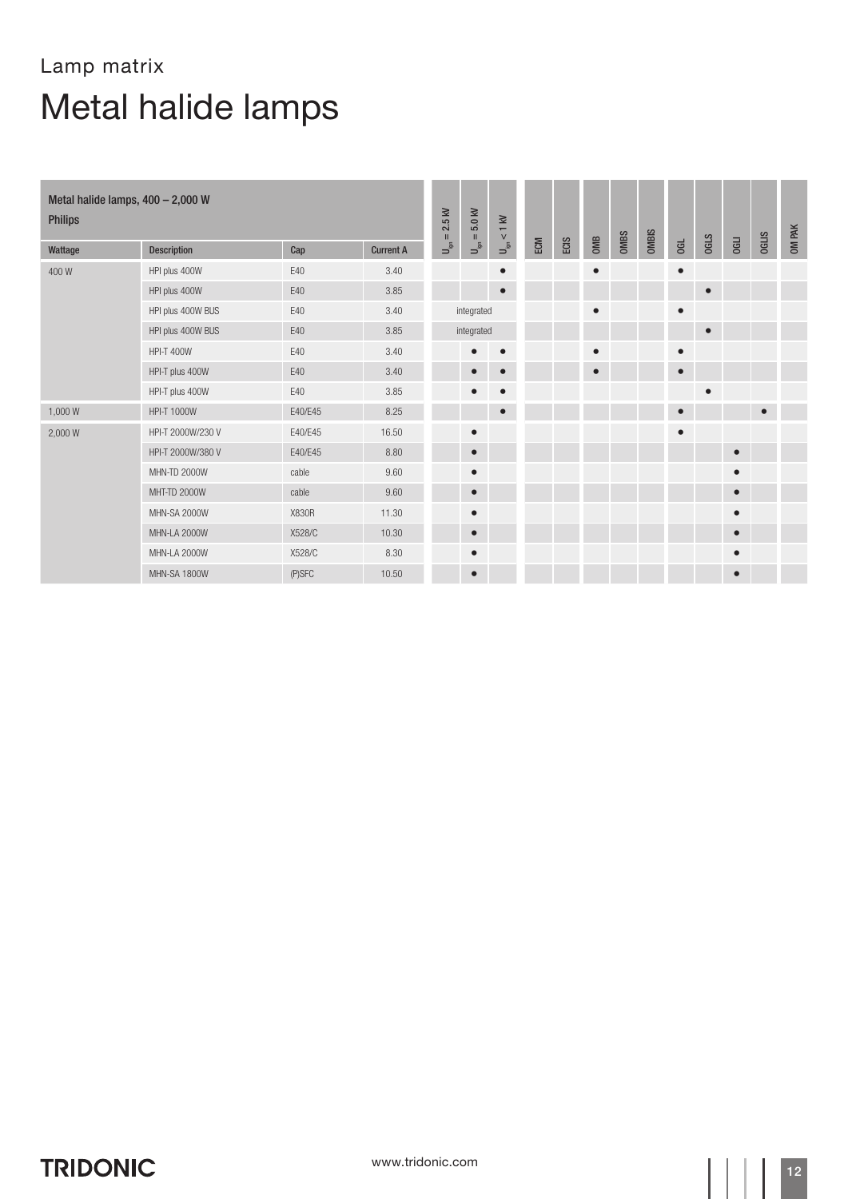| Metal halide lamps, 400 - 2,000 W<br><b>Philips</b> |                     |         |                  |                                                                                                 | $\ensuremath{\mathsf{U}}_{\ensuremath{\mathsf{ign}}} = 5.0$ kV | $< 1$ kV                                                |     |      |           |      |              |           |             |             |              | OM PAK |
|-----------------------------------------------------|---------------------|---------|------------------|-------------------------------------------------------------------------------------------------|----------------------------------------------------------------|---------------------------------------------------------|-----|------|-----------|------|--------------|-----------|-------------|-------------|--------------|--------|
| Wattage                                             | <b>Description</b>  | Cap     | <b>Current A</b> | $= 2.5$ kV<br>$\begin{array}{c} \mathbf{L}_{\mathbf{B}} \\ \mathbf{L}_{\mathbf{B}} \end{array}$ |                                                                | $\begin{array}{c} \mathbf{S} \\ \mathbf{S} \end{array}$ | ECM | ECIS | OMB       | OMBS | <b>OMBIS</b> | G         | <b>OGLS</b> | <b>OGLI</b> | <b>OGLIS</b> |        |
| 400W                                                | HPI plus 400W       | E40     | 3.40             |                                                                                                 |                                                                | $\bullet$                                               |     |      | $\bullet$ |      |              | $\bullet$ |             |             |              |        |
|                                                     | HPI plus 400W       | E40     | 3.85             |                                                                                                 |                                                                | $\bullet$                                               |     |      |           |      |              |           | $\bullet$   |             |              |        |
|                                                     | HPI plus 400W BUS   | E40     | 3.40             |                                                                                                 | integrated                                                     |                                                         |     |      | $\bullet$ |      |              | $\bullet$ |             |             |              |        |
|                                                     | HPI plus 400W BUS   | E40     | 3.85             |                                                                                                 | integrated                                                     |                                                         |     |      |           |      |              |           | $\bullet$   |             |              |        |
|                                                     | <b>HPI-T 400W</b>   | E40     | 3.40             |                                                                                                 |                                                                | $\bullet$                                               |     |      | $\bullet$ |      |              | $\bullet$ |             |             |              |        |
|                                                     | HPI-T plus 400W     | E40     | 3.40             |                                                                                                 | $\bullet$                                                      | $\bullet$                                               |     |      | $\bullet$ |      |              | $\bullet$ |             |             |              |        |
|                                                     | HPI-T plus 400W     | E40     | 3.85             |                                                                                                 | $\bullet$                                                      | $\bullet$                                               |     |      |           |      |              |           | $\bullet$   |             |              |        |
| 1,000 W                                             | HPI-T 1000W         | E40/E45 | 8.25             |                                                                                                 |                                                                |                                                         |     |      |           |      |              | $\bullet$ |             |             | $\bullet$    |        |
| 2,000 W                                             | HPI-T 2000W/230 V   | E40/E45 | 16.50            |                                                                                                 | $\bullet$                                                      |                                                         |     |      |           |      |              | $\bullet$ |             |             |              |        |
|                                                     | HPI-T 2000W/380 V   | E40/E45 | 8.80             |                                                                                                 | $\bullet$                                                      |                                                         |     |      |           |      |              |           |             | $\bullet$   |              |        |
|                                                     | <b>MHN-TD 2000W</b> | cable   | 9.60             |                                                                                                 | $\bullet$                                                      |                                                         |     |      |           |      |              |           |             | $\bullet$   |              |        |
|                                                     | MHT-TD 2000W        | cable   | 9.60             |                                                                                                 | $\bullet$                                                      |                                                         |     |      |           |      |              |           |             | $\bullet$   |              |        |
|                                                     | MHN-SA 2000W        | X830R   | 11.30            |                                                                                                 | $\bullet$                                                      |                                                         |     |      |           |      |              |           |             | $\bullet$   |              |        |
|                                                     | <b>MHN-LA 2000W</b> | X528/C  | 10.30            |                                                                                                 | $\bullet$                                                      |                                                         |     |      |           |      |              |           |             |             |              |        |
|                                                     | <b>MHN-LA 2000W</b> | X528/C  | 8.30             |                                                                                                 | $\bullet$                                                      |                                                         |     |      |           |      |              |           |             | $\bullet$   |              |        |
|                                                     | MHN-SA 1800W        | (P)SFC  | 10.50            |                                                                                                 | $\bullet$                                                      |                                                         |     |      |           |      |              |           |             | $\bullet$   |              |        |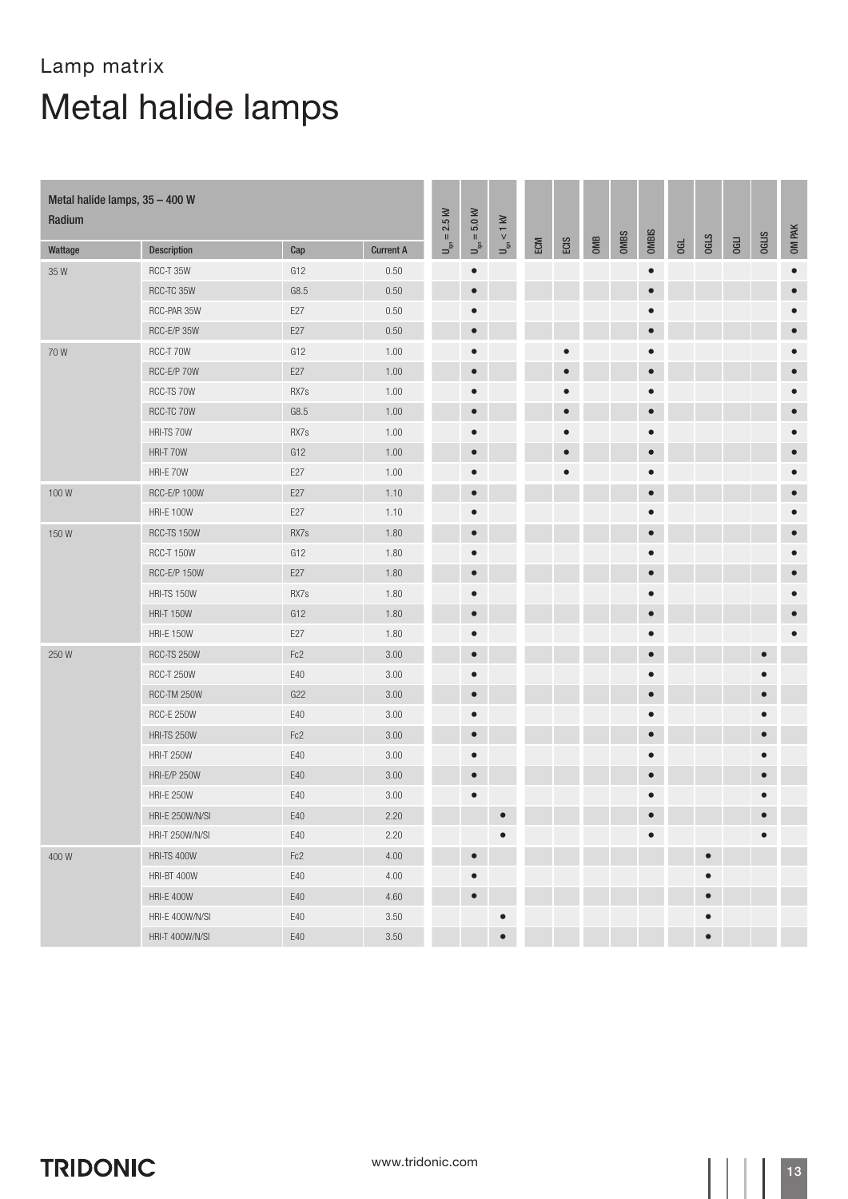| Metal halide lamps, 35 - 400 W<br>Radium |                     |       |                  |                                         | $U_{\text{ign}} = 5.0 \text{ kV}$ | $U_{\rm ign} < 1~{\rm kV}$ |     |           |     |             |              |    |             |             |              |           |
|------------------------------------------|---------------------|-------|------------------|-----------------------------------------|-----------------------------------|----------------------------|-----|-----------|-----|-------------|--------------|----|-------------|-------------|--------------|-----------|
| Wattage                                  | Description         | Cap   | <b>Current A</b> | $= 2.5$ kV<br>$\mathsf{P}_{\mathsf{g}}$ |                                   |                            | ECM | ECIS      | OMB | <b>OMBS</b> | <b>OMBIS</b> | GL | <b>OGLS</b> | <b>OGLI</b> | <b>OGLIS</b> | OM PAK    |
| 35W                                      | RCC-T 35W           | G12   | 0.50             |                                         | $\bullet$                         |                            |     |           |     |             | $\bullet$    |    |             |             |              | $\bullet$ |
|                                          | RCC-TC 35W          | G8.5  | 0.50             |                                         | $\bullet$                         |                            |     |           |     |             | $\bullet$    |    |             |             |              | $\bullet$ |
|                                          | RCC-PAR 35W         | E27   | 0.50             |                                         | $\bullet$                         |                            |     |           |     |             | $\bullet$    |    |             |             |              | $\bullet$ |
|                                          | RCC-E/P 35W         | E27   | 0.50             |                                         | $\bullet$                         |                            |     |           |     |             | $\bullet$    |    |             |             |              | $\bullet$ |
| 70W                                      | RCC-T 70W           | G12   | 1.00             |                                         | $\bullet$                         |                            |     |           |     |             | $\bullet$    |    |             |             |              |           |
|                                          | RCC-E/P 70W         | E27   | 1.00             |                                         | $\bullet$                         |                            |     | $\bullet$ |     |             | $\bullet$    |    |             |             |              | $\bullet$ |
|                                          | RCC-TS 70W          | RX7s  | 1.00             |                                         | $\bullet$                         |                            |     |           |     |             | $\bullet$    |    |             |             |              | $\bullet$ |
|                                          | RCC-TC 70W          | G8.5  | 1.00             |                                         | $\bullet$                         |                            |     | $\bullet$ |     |             | $\bullet$    |    |             |             |              | $\bullet$ |
|                                          | HRI-TS 70W          | RX7s  | 1.00             |                                         | $\bullet$                         |                            |     | $\bullet$ |     |             | $\bullet$    |    |             |             |              | $\bullet$ |
|                                          | HRI-T 70W           | G12   | 1.00             |                                         | $\bullet$                         |                            |     | $\bullet$ |     |             | $\bullet$    |    |             |             |              | $\bullet$ |
|                                          | HRI-E 70W           | E27   | 1.00             |                                         | $\bullet$                         |                            |     |           |     |             | $\bullet$    |    |             |             |              | $\bullet$ |
| 100W                                     | RCC-E/P 100W        | E27   | 1.10             |                                         | $\bullet$                         |                            |     |           |     |             | $\bullet$    |    |             |             |              | $\bullet$ |
|                                          | <b>HRI-E 100W</b>   | E27   | 1.10             |                                         | $\bullet$                         |                            |     |           |     |             | $\bullet$    |    |             |             |              | О         |
| 150W                                     | RCC-TS 150W         | RX7s  | 1.80             |                                         | $\bullet$                         |                            |     |           |     |             | $\bullet$    |    |             |             |              | $\bullet$ |
|                                          | RCC-T 150W          | G12   | 1.80             |                                         | $\bullet$                         |                            |     |           |     |             | $\bullet$    |    |             |             |              | $\bullet$ |
|                                          | RCC-E/P 150W        | E27   | 1.80             |                                         | $\bullet$                         |                            |     |           |     |             | $\bullet$    |    |             |             |              | г         |
|                                          | HRI-TS 150W         | RX7s  | 1.80             |                                         | $\bullet$                         |                            |     |           |     |             | $\bullet$    |    |             |             |              |           |
|                                          | <b>HRI-T 150W</b>   | G12   | 1.80             |                                         | $\bullet$                         |                            |     |           |     |             | $\bullet$    |    |             |             |              | $\bullet$ |
|                                          | <b>HRI-E 150W</b>   | E27   | 1.80             |                                         | $\bullet$                         |                            |     |           |     |             | $\bullet$    |    |             |             |              |           |
| 250W                                     | RCC-TS 250W         | Fc2   | 3.00             |                                         | $\bullet$                         |                            |     |           |     |             | $\bullet$    |    |             |             | $\bullet$    |           |
|                                          | <b>RCC-T 250W</b>   | E40   | 3.00             |                                         | $\bullet$                         |                            |     |           |     |             | $\bullet$    |    |             |             |              |           |
|                                          | RCC-TM 250W         | G22   | 3.00             |                                         | $\bullet$                         |                            |     |           |     |             | $\bullet$    |    |             |             | $\bullet$    |           |
|                                          | <b>RCC-E 250W</b>   | E40   | 3.00             |                                         | $\bullet$                         |                            |     |           |     |             | $\bullet$    |    |             |             | $\bullet$    |           |
|                                          | <b>HRI-TS 250W</b>  | Fc2   | 3.00             |                                         | $\bullet$                         |                            |     |           |     |             | $\bullet$    |    |             |             |              |           |
|                                          | <b>HRI-T 250W</b>   | E40   | 3.00             |                                         | $\bullet$                         |                            |     |           |     |             | $\bullet$    |    |             |             |              |           |
|                                          | <b>HRI-E/P 250W</b> | E40   | $3.00\,$         |                                         | $\qquad \qquad \bullet$           |                            |     |           |     |             | $\bullet$    |    |             |             |              |           |
|                                          | <b>HRI-E 250W</b>   | E40   | 3.00             |                                         |                                   |                            |     |           |     |             | О            |    |             |             |              |           |
|                                          | HRI-E 250W/N/SI     | $E40$ | 2.20             |                                         |                                   | $\bullet$                  |     |           |     |             |              |    |             |             |              |           |
|                                          | HRI-T 250W/N/SI     | E40   | 2.20             |                                         |                                   | $\bullet$                  |     |           |     |             | $\bullet$    |    |             |             | $\bullet$    |           |
| 400W                                     | HRI-TS 400W         | Fc2   | 4.00             |                                         | $\bullet$                         |                            |     |           |     |             |              |    | $\bullet$   |             |              |           |
|                                          | HRI-BT 400W         | E40   | 4.00             |                                         | $\bullet$                         |                            |     |           |     |             |              |    | $\bullet$   |             |              |           |
|                                          | <b>HRI-E 400W</b>   | E40   | 4.60             |                                         | $\bullet$                         |                            |     |           |     |             |              |    | $\bullet$   |             |              |           |
|                                          | HRI-E 400W/N/SI     | E40   | $3.50\,$         |                                         |                                   | $\bullet$                  |     |           |     |             |              |    | $\bullet$   |             |              |           |
|                                          | HRI-T 400W/N/SI     | E40   | 3.50             |                                         |                                   | $\bullet$                  |     |           |     |             |              |    | $\bullet$   |             |              |           |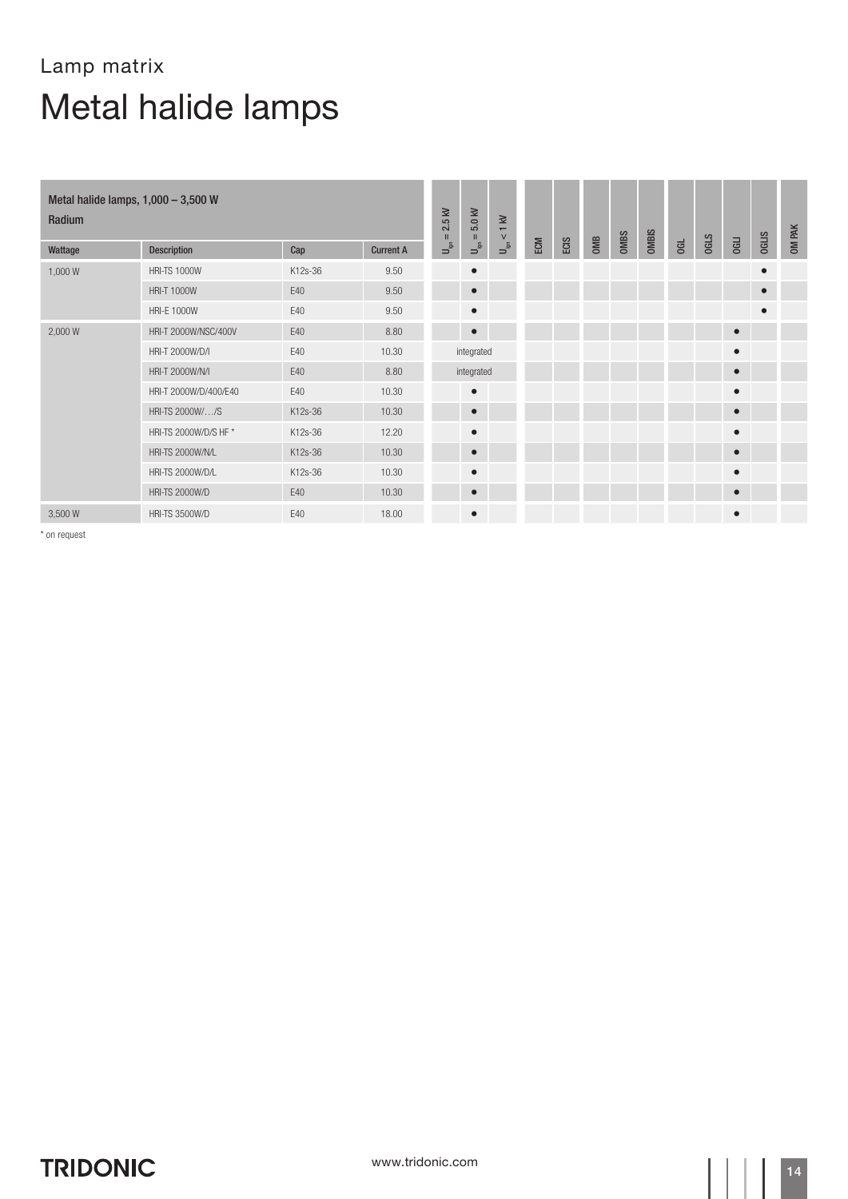| Metal halide lamps, $1,000 - 3,500$ W<br>Radium |                         |         |                  |                                                        |                                      | $< 1$ kV                                                |     |      |     |             |              |   |             |           |              | OM PAK |
|-------------------------------------------------|-------------------------|---------|------------------|--------------------------------------------------------|--------------------------------------|---------------------------------------------------------|-----|------|-----|-------------|--------------|---|-------------|-----------|--------------|--------|
| Wattage                                         | <b>Description</b>      | Cap     | <b>Current A</b> | $\mathbf{I}$<br>$\mathsf{U}^{\mathsf{S}}_{\mathsf{S}}$ | $\rm H$<br>$\mathsf{u}^{\mathsf{S}}$ | $\begin{array}{c} \mathbf{L} \\ \mathbf{S} \end{array}$ | ECM | ECIS | OMB | <b>OMBS</b> | <b>OMBIS</b> | G | <b>OGLS</b> | OGLI      | <b>OGLIS</b> |        |
| 1,000 W                                         | <b>HRI-TS 1000W</b>     | K12s-36 | 9.50             |                                                        | $\bullet$                            |                                                         |     |      |     |             |              |   |             |           | $\bullet$    |        |
|                                                 | <b>HRI-T 1000W</b>      | E40     | 9.50             |                                                        | $\bullet$                            |                                                         |     |      |     |             |              |   |             |           | $\bullet$    |        |
|                                                 | <b>HRI-E 1000W</b>      | E40     | 9.50             |                                                        | $\bullet$                            |                                                         |     |      |     |             |              |   |             |           | $\bullet$    |        |
| 2,000 W                                         | HRI-T 2000W/NSC/400V    | E40     | 8.80             |                                                        | $\bullet$                            |                                                         |     |      |     |             |              |   |             | $\bullet$ |              |        |
|                                                 | HRI-T 2000W/D/I         | E40     | 10.30            |                                                        | integrated                           |                                                         |     |      |     |             |              |   |             | $\bullet$ |              |        |
|                                                 | HRI-T 2000W/N/I         | E40     | 8.80             |                                                        | integrated                           |                                                         |     |      |     |             |              |   |             | $\bullet$ |              |        |
|                                                 | HRI-T 2000W/D/400/E40   | E40     | 10.30            |                                                        | $\bullet$                            |                                                         |     |      |     |             |              |   |             | $\bullet$ |              |        |
|                                                 | HRI-TS 2000W//S         | K12s-36 | 10.30            |                                                        | $\bullet$                            |                                                         |     |      |     |             |              |   |             | $\bullet$ |              |        |
|                                                 | HRI-TS 2000W/D/S HF *   | K12s-36 | 12.20            |                                                        | $\bullet$                            |                                                         |     |      |     |             |              |   |             | $\bullet$ |              |        |
|                                                 | HRI-TS 2000W/N/L        | K12s-36 | 10.30            |                                                        | $\bullet$                            |                                                         |     |      |     |             |              |   |             | $\bullet$ |              |        |
|                                                 | <b>HRI-TS 2000W/D/L</b> | K12s-36 | 10.30            |                                                        | $\bullet$                            |                                                         |     |      |     |             |              |   |             | $\bullet$ |              |        |
|                                                 | <b>HRI-TS 2000W/D</b>   | E40     | 10.30            |                                                        | $\bullet$                            |                                                         |     |      |     |             |              |   |             | $\bullet$ |              |        |
| 3,500 W                                         | <b>HRI-TS 3500W/D</b>   | F40     | 18.00            |                                                        | $\bullet$                            |                                                         |     |      |     |             |              |   |             | $\bullet$ |              |        |

\* on request